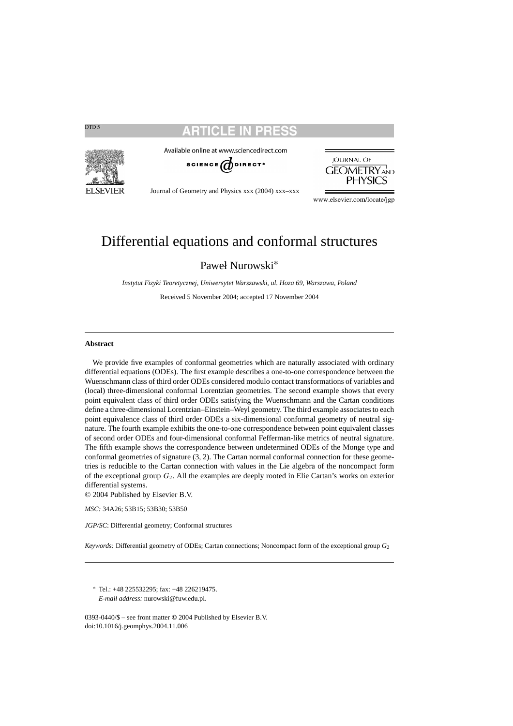

Available online at www.sciencedirect.com





Journal of Geometry and Physics xxx (2004) xxx–xxx

www.elsevier.com/locate/jgp

# Differential equations and conformal structures

Paweł Nurowski<sup>∗</sup>

*Instytut Fizyki Teoretycznej, Uniwersytet Warszawski, ul. Hoza 69, Warszawa, Poland*

Received 5 November 2004; accepted 17 November 2004

#### **Abstract**

We provide five examples of conformal geometries which are naturally associated with ordinary differential equations (ODEs). The first example describes a one-to-one correspondence between the Wuenschmann class of third order ODEs considered modulo contact transformations of variables and (local) three-dimensional conformal Lorentzian geometries. The second example shows that every point equivalent class of third order ODEs satisfying the Wuenschmann and the Cartan conditions define a three-dimensional Lorentzian–Einstein–Weyl geometry. The third example associates to each point equivalence class of third order ODEs a six-dimensional conformal geometry of neutral signature. The fourth example exhibits the one-to-one correspondence between point equivalent classes of second order ODEs and four-dimensional conformal Fefferman-like metrics of neutral signature. The fifth example shows the correspondence between undetermined ODEs of the Monge type and conformal geometries of signature (3, 2). The Cartan normal conformal connection for these geometries is reducible to the Cartan connection with values in the Lie algebra of the noncompact form of the exceptional group  $G_2$ . All the examples are deeply rooted in Elie Cartan's works on exterior differential systems.

© 2004 Published by Elsevier B.V.

*MSC:* 34A26; 53B15; 53B30; 53B50

*JGP/SC*: Differential geometry; Conformal structures

*Keywords:* Differential geometry of ODEs; Cartan connections; Noncompact form of the exceptional group *G*<sup>2</sup>

<sup>∗</sup> Tel.: +48 225532295; fax: +48 226219475. *E-mail address:* nurowski@fuw.edu.pl.

0393-0440/\$ – see front matter **©** 2004 Published by Elsevier B.V. doi:10.1016/j.geomphys.2004.11.006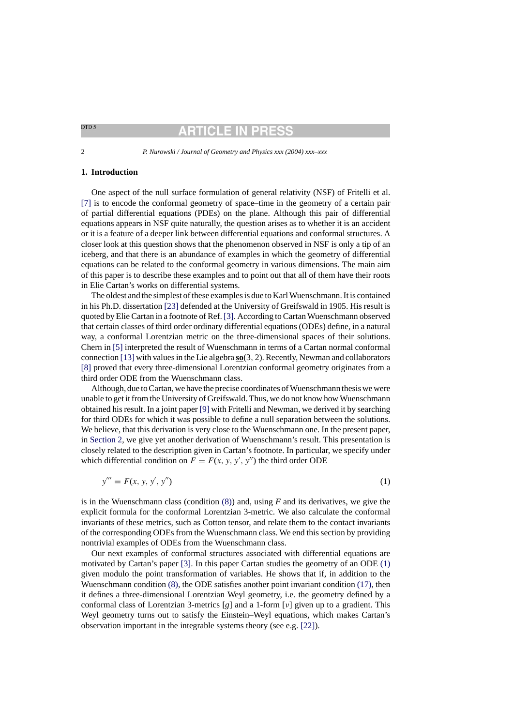## ARTICLE IN PRE

<span id="page-1-0"></span>2 *P. Nurowski / Journal of Geometry and Physics xxx (2004) xxx–xxx*

#### **1. Introduction**

One aspect of the null surface formulation of general relativity (NSF) of Fritelli et al. [\[7\]](#page-30-0) is to encode the conformal geometry of space–time in the geometry of a certain pair of partial differential equations (PDEs) on the plane. Although this pair of differential equations appears in NSF quite naturally, the question arises as to whether it is an accident or it is a feature of a deeper link between differential equations and conformal structures. A closer look at this question shows that the phenomenon observed in NSF is only a tip of an iceberg, and that there is an abundance of examples in which the geometry of differential equations can be related to the conformal geometry in various dimensions. The main aim of this paper is to describe these examples and to point out that all of them have their roots in Elie Cartan's works on differential systems.

The oldest and the simplest of these examples is due to Karl Wuenschmann. It is contained in his Ph.D. dissertation [\[23\]](#page-30-0) defended at the University of Greifswald in 1905. His result is quoted by Elie Cartan in a footnote of Ref. [\[3\]. A](#page-30-0)ccording to Cartan Wuenschmann observed that certain classes of third order ordinary differential equations (ODEs) define, in a natural way, a conformal Lorentzian metric on the three-dimensional spaces of their solutions. Chern in [\[5\]](#page-30-0) interpreted the result of Wuenschmann in terms of a Cartan normal conformal connection [\[13\]](#page-30-0) with values in the Lie algebra **so**(3, 2). Recently, Newman and collaborators [\[8\]](#page-30-0) proved that every three-dimensional Lorentzian conformal geometry originates from a third order ODE from the Wuenschmann class.

Although, due to Cartan, we have the precise coordinates of Wuenschmann thesis we were unable to get it from the University of Greifswald. Thus, we do not know how Wuenschmann obtained his result. In a joint paper [\[9\]](#page-30-0) with Fritelli and Newman, we derived it by searching for third ODEs for which it was possible to define a null separation between the solutions. We believe, that this derivation is very close to the Wuenschmann one. In the present paper, in [Section 2, w](#page-4-0)e give yet another derivation of Wuenschmann's result. This presentation is closely related to the description given in Cartan's footnote. In particular, we specify under which differential condition on  $F = F(x, y, y', y'')$  the third order ODE

$$
y''' = F(x, y, y', y'')
$$
 (1)

is in the Wuenschmann class (condition [\(8\)\)](#page-5-0) and, using *F* and its derivatives, we give the explicit formula for the conformal Lorentzian 3-metric. We also calculate the conformal invariants of these metrics, such as Cotton tensor, and relate them to the contact invariants of the corresponding ODEs from the Wuenschmann class. We end this section by providing nontrivial examples of ODEs from the Wuenschmann class.

Our next examples of conformal structures associated with differential equations are motivated by Cartan's paper [\[3\].](#page-30-0) In this paper Cartan studies the geometry of an ODE (1) given modulo the point transformation of variables. He shows that if, in addition to the Wuenschmann condition [\(8\), t](#page-5-0)he ODE satisfies another point invariant condition [\(17\), t](#page-10-0)hen it defines a three-dimensional Lorentzian Weyl geometry, i.e. the geometry defined by a conformal class of Lorentzian 3-metrics [*g*] and a 1-form [ν] given up to a gradient. This Weyl geometry turns out to satisfy the Einstein–Weyl equations, which makes Cartan's observation important in the integrable systems theory (see e.g. [\[22\]\).](#page-30-0)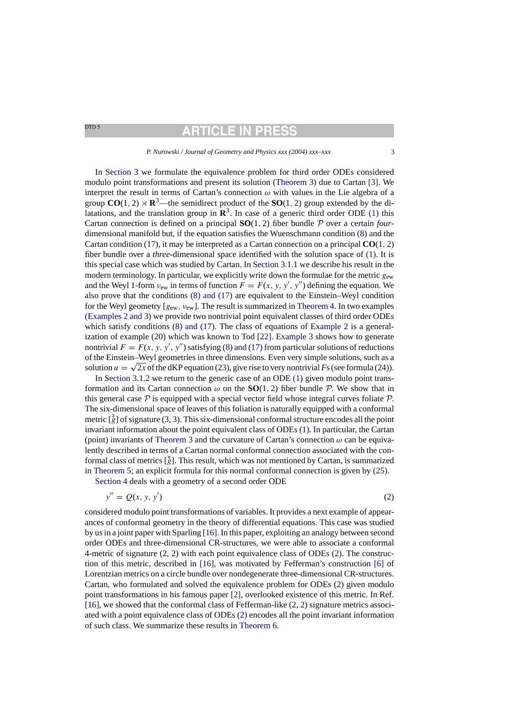## **RTICLE IN PRE**

#### *P. Nurowski / Journal of Geometry and Physics xxx (2004) xxx–xxx* 3

In [Section 3](#page-7-0) we formulate the equivalence problem for third order ODEs considered modulo point transformations and present its solution ([Theorem 3\)](#page-7-0) due to Cartan [\[3\].](#page-30-0) We interpret the result in terms of Cartan's connection  $\omega$  with values in the Lie algebra of a group  $CO(1, 2) \rtimes \mathbb{R}^3$ —the semidirect product of the  $SO(1, 2)$  group extended by the dilatations, and the translation group in  $\mathbb{R}^3$ . In case of a generic third order ODE [\(1\)](#page-1-0) this Cartan connection is defined on a principal **SO**(1, 2) fiber bundle P over a certain *four*dimensional manifold but, if the equation satisfies the Wuenschmann condition [\(8\)](#page-5-0) and the Cartan condition [\(17\), i](#page-10-0)t may be interpreted as a Cartan connection on a principal **CO**(1, 2) fiber bundle over a *three*-dimensional space identified with the solution space of [\(1\).](#page-1-0) It is this special case which was studied by Cartan. In [Section 3.1.1](#page-9-0) we describe his result in the modern terminology. In particular, we explicitly write down the formulae for the metric  $g_{ew}$ and the Weyl 1-form  $v_{ew}$  in terms of function  $F = F(x, y, y', y'')$  defining the equation. We also prove that the conditions [\(8\) and \(17\)](#page-5-0) are equivalent to the Einstein–Weyl condition for the Weyl geometry  $[g_{ew}, v_{ew}]$ . The result is summarized in [Theorem 4. I](#page-11-0)n two examples ([Examples 2 and 3\) w](#page-11-0)e provide two nontrivial point equivalent classes of third order ODEs which satisfy conditions [\(8\) and \(17\).](#page-5-0) The class of equations of [Example 2](#page-11-0) is a generalization of example [\(20\)](#page-11-0) which was known to Tod [\[22\].](#page-30-0) [Example 3](#page-12-0) shows how to generate nontrivial  $F = F(x, y, y', y'')$  satisfying [\(8\) and \(17\)](#page-5-0) from particular solutions of reductions of the Einstein–Weyl geometries in three dimensions. Even very simple solutions, such as a solution  $u = \sqrt{2x}$  of the dKP equation [\(23\), g](#page-12-0)ive rise to very nontrivial Fs (see formula [\(24\)\).](#page-12-0)

In [Section 3.1.2](#page-13-0) we return to the generic case of an ODE [\(1\)](#page-1-0) given modulo point transformation and its Cartan connection  $\omega$  on the **SO**(1, 2) fiber bundle P. We show that in this general case  $P$  is equipped with a special vector field whose integral curves foliate  $P$ . The six-dimensional space of leaves of this foliation is naturally equipped with a conformal metric  $\left[\tilde{g}\right]$  of signature (3, 3). This six-dimensional conformal structure encodes all the point invariant information about the point equivalent class of ODEs [\(1\). I](#page-1-0)n particular, the Cartan (point) invariants of [Theorem 3](#page-7-0) and the curvature of Cartan's connection  $\omega$  can be equivalently described in terms of a Cartan normal conformal connection associated with the conformal class of metrics  $\left[\tilde{g}\right]$ . This result, which was not mentioned by Cartan, is summarized in [Theorem 5;](#page-14-0) an explicit formula for this normal conformal connection is given by [\(25\).](#page-14-0)

[Section 4](#page-15-0) deals with a geometry of a second order ODE

$$
y'' = Q(x, y, y') \tag{2}
$$

considered modulo point transformations of variables. It provides a next example of appearances of conformal geometry in the theory of differential equations. This case was studied by us in a joint paper with Sparling [\[16\]. I](#page-30-0)n this paper, exploiting an analogy between second order ODEs and three-dimensional CR-structures, we were able to associate a conformal 4-metric of signature (2, 2) with each point equivalence class of ODEs (2). The construction of this metric, described in [\[16\],](#page-30-0) was motivated by Fefferman's construction [\[6\]](#page-30-0) of Lorentzian metrics on a circle bundle over nondegenerate three-dimensional CR-structures. Cartan, who formulated and solved the equivalence problem for ODEs (2) given modulo point transformations in his famous paper [\[2\],](#page-30-0) overlooked existence of this metric. In Ref. [\[16\], w](#page-30-0)e showed that the conformal class of Fefferman-like (2, 2) signature metrics associated with a point equivalence class of ODEs (2) encodes all the point invariant information of such class. We summarize these results in [Theorem 6.](#page-15-0)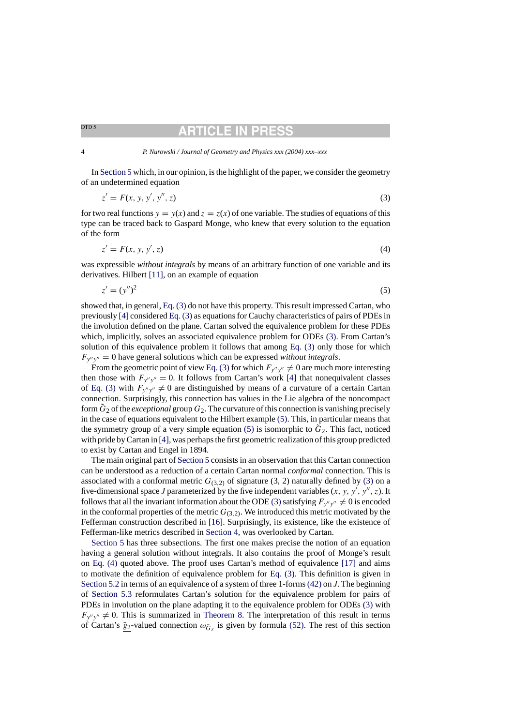## **ARTICLE IN PRI**

#### <span id="page-3-0"></span>4 *P. Nurowski / Journal of Geometry and Physics xxx (2004) xxx–xxx*

In [Section 5](#page-16-0) which, in our opinion, is the highlight of the paper, we consider the geometry of an undetermined equation

$$
z' = F(x, y, y', y'', z)
$$
\n(3)

for two real functions  $y = y(x)$  and  $z = z(x)$  of one variable. The studies of equations of this type can be traced back to Gaspard Monge, who knew that every solution to the equation of the form

$$
z' = F(x, y, y', z) \tag{4}
$$

was expressible *without integrals* by means of an arbitrary function of one variable and its derivatives. Hilbert [\[11\],](#page-30-0) on an example of equation

$$
z' = (y'')^2 \tag{5}
$$

showed that, in general, Eq. (3) do not have this property. This result impressed Cartan, who previously [\[4\]](#page-30-0) considered Eq. (3) as equations for Cauchy characteristics of pairs of PDEs in the involution defined on the plane. Cartan solved the equivalence problem for these PDEs which, implicitly, solves an associated equivalence problem for ODEs (3). From Cartan's solution of this equivalence problem it follows that among Eq. (3) only those for which  $F_{y''y''} = 0$  have general solutions which can be expressed *without integrals*.

From the geometric point of view Eq. (3) for which  $F_{y''y''} \neq 0$  are much more interesting then those with  $F_{y''y''} = 0$ . It follows from Cartan's work [\[4\]](#page-30-0) that nonequivalent classes of Eq. (3) with  $F_{y''y''} \neq 0$  are distinguished by means of a curvature of a certain Cartan connection. Surprisingly, this connection has values in the Lie algebra of the noncompact form  $\tilde{G}_2$  of the *exceptional* group  $G_2$ . The curvature of this connection is vanishing precisely in the case of equations equivalent to the Hilbert example (5). This, in particular means that the symmetry group of a very simple equation  $(5)$  is isomorphic to  $G_2$ . This fact, noticed with pride by Cartan in [\[4\], w](#page-30-0)as perhaps the first geometric realization of this group predicted to exist by Cartan and Engel in 1894.

The main original part of [Section 5](#page-16-0) consists in an observation that this Cartan connection can be understood as a reduction of a certain Cartan normal *conformal* connection. This is associated with a conformal metric  $G_{(3,2)}$  of signature (3, 2) naturally defined by (3) on a five-dimensional space *J* parameterized by the five independent variables  $(x, y, y', y'', z)$ . It follows that all the invariant information about the ODE (3) satisfying  $F_{y''y''} \neq 0$  is encoded in the conformal properties of the metric  $G_{(3,2)}$ . We introduced this metric motivated by the Fefferman construction described in [\[16\].](#page-30-0) Surprisingly, its existence, like the existence of Fefferman-like metrics described in [Section 4,](#page-15-0) was overlooked by Cartan.

[Section 5](#page-16-0) has three subsections. The first one makes precise the notion of an equation having a general solution without integrals. It also contains the proof of Monge's result on Eq. (4) quoted above. The proof uses Cartan's method of equivalence [\[17\]](#page-30-0) and aims to motivate the definition of equivalence problem for Eq. (3). This definition is given in [Section 5.2](#page-19-0) in terms of an equivalence of a system of three 1-forms[\(42\)](#page-19-0) on *J*. The beginning of [Section 5.3](#page-20-0) reformulates Cartan's solution for the equivalence problem for pairs of PDEs in involution on the plane adapting it to the equivalence problem for ODEs (3) with  $F_{y''y''} \neq 0$ . This is summarized in [Theorem 8.](#page-21-0) The interpretation of this result in terms of Cartan's  $\tilde{g}_2$ -valued connection  $\omega_{\tilde{G}_2}$  is given by formula [\(52\).](#page-24-0) The rest of this section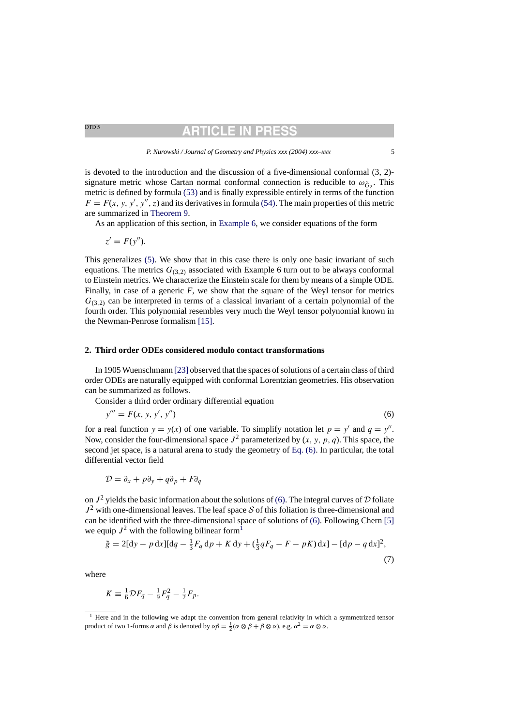## RTICLE IN

*P. Nurowski / Journal of Geometry and Physics xxx (2004) xxx–xxx* 5

<span id="page-4-0"></span>is devoted to the introduction and the discussion of a five-dimensional conformal (3, 2) signature metric whose Cartan normal conformal connection is reducible to  $\omega_{\tilde{G}_2}$ . This metric is defined by formula [\(53\)](#page-25-0) and is finally expressible entirely in terms of the function  $F = F(x, y, y', y'', z)$  and its derivatives in formula [\(54\). T](#page-25-0)he main properties of this metric are summarized in [Theorem 9.](#page-26-0)

As an application of this section, in [Example 6, w](#page-27-0)e consider equations of the form

$$
z'=F(y'').
$$

This generalizes [\(5\).](#page-3-0) We show that in this case there is only one basic invariant of such equations. The metrics  $G_{(3,2)}$  associated with Example 6 turn out to be always conformal to Einstein metrics. We characterize the Einstein scale for them by means of a simple ODE. Finally, in case of a generic *F*, we show that the square of the Weyl tensor for metrics  $G_{(3,2)}$  can be interpreted in terms of a classical invariant of a certain polynomial of the fourth order. This polynomial resembles very much the Weyl tensor polynomial known in the Newman-Penrose formalism [\[15\].](#page-30-0)

### **2. Third order ODEs considered modulo contact transformations**

In 1905 Wuenschmann [\[23\]](#page-30-0) [o](#page-30-0)bserved that the spaces of solutions of a certain class of third order ODEs are naturally equipped with conformal Lorentzian geometries. His observation can be summarized as follows.

Consider a third order ordinary differential equation

$$
y''' = F(x, y, y', y'')
$$
 (6)

for a real function  $y = y(x)$  of one variable. To simplify notation let  $p = y'$  and  $q = y''$ . Now, consider the four-dimensional space  $J^2$  parameterized by  $(x, y, p, q)$ . This space, the second jet space, is a natural arena to study the geometry of Eq. (6). In particular, the total differential vector field

$$
\mathcal{D} = \partial_x + p\partial_y + q\partial_p + F\partial_q
$$

on  $J^2$  yields the basic information about the solutions of (6). The integral curves of  $D$  foliate  $J^2$  with one-dimensional leaves. The leaf space S of this foliation is three-dimensional and can be identified with the three-dimensional space of solutions of (6). Following Chern [\[5\]](#page-30-0) we equip  $J^2$  with the following bilinear form<sup>1</sup>

$$
\tilde{g} = 2[dy - p dx][dq - \frac{1}{3}F_q dp + K dy + (\frac{1}{3}qF_q - F - pK) dx] - [dp - q dx]^2,
$$
\n(7)

where

$$
K \equiv \frac{1}{6} \mathcal{D} F_q - \frac{1}{9} F_q^2 - \frac{1}{2} F_p.
$$

 $<sup>1</sup>$  Here and in the following we adapt the convention from general relativity in which a symmetrized tensor</sup> product of two 1-forms α and β is denoted by  $\alpha\beta = \frac{1}{2}(\alpha \otimes \beta + \beta \otimes \alpha)$ , e.g.  $\alpha^2 = \alpha \otimes \alpha$ .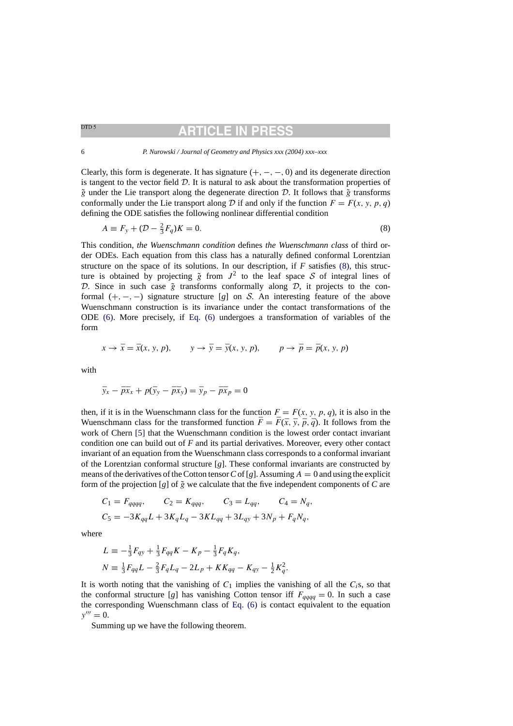## **ARTICLE IN PR**

<span id="page-5-0"></span>6 *P. Nurowski / Journal of Geometry and Physics xxx (2004) xxx–xxx*

Clearly, this form is degenerate. It has signature  $(+, -, -, 0)$  and its degenerate direction is tangent to the vector field  $D$ . It is natural to ask about the transformation properties of  $\tilde{g}$  under the Lie transport along the degenerate direction D. It follows that  $\tilde{g}$  transforms conformally under the Lie transport along D if and only if the function  $F = F(x, y, p, q)$ defining the ODE satisfies the following nonlinear differential condition

$$
A \equiv F_y + (D - \frac{2}{3}F_q)K = 0.
$$
\n(8)

This condition, *the Wuenschmann condition* defines *the Wuenschmann class* of third order ODEs. Each equation from this class has a naturally defined conformal Lorentzian structure on the space of its solutions. In our description, if *F* satisfies (8), this structure is obtained by projecting  $\tilde{g}$  from  $J^2$  to the leaf space S of integral lines of D. Since in such case  $\tilde{g}$  transforms conformally along D, it projects to the conformal  $(+, -, -)$  signature structure [*g*] on S. An interesting feature of the above Wuenschmann construction is its invariance under the contact transformations of the ODE [\(6\).](#page-4-0) More precisely, if [Eq. \(6\)](#page-4-0) undergoes a transformation of variables of the form

$$
x \to \bar{x} = \bar{x}(x, y, p), \qquad y \to \bar{y} = \bar{y}(x, y, p), \qquad p \to \bar{p} = \bar{p}(x, y, p)
$$

with

$$
\bar{y}_x - \bar{p}\bar{x}_x + p(\bar{y}_y - \bar{p}\bar{x}_y) = \bar{y}_p - \bar{p}\bar{x}_p = 0
$$

then, if it is in the Wuenschmann class for the function  $F = F(x, y, p, q)$ , it is also in the Wuenschmann class for the transformed function  $\bar{F} = \bar{F}(\bar{x}, \bar{y}, \bar{p}, \bar{q})$ . It follows from the work of Chern [\[5\]](#page-30-0) that the Wuenschmann condition is the lowest order contact invariant condition one can build out of *F* and its partial derivatives. Moreover, every other contact invariant of an equation from the Wuenschmann class corresponds to a conformal invariant of the Lorentzian conformal structure [*g*]. These conformal invariants are constructed by means of the derivatives of the Cotton tensor C of [g]. Assuming  $A = 0$  and using the explicit form of the projection [*g*] of  $\tilde{g}$  we calculate that the five independent components of *C* are

$$
C_1 = F_{qqqq}
$$
,  $C_2 = K_{qqq}$ ,  $C_3 = L_{qq}$ ,  $C_4 = N_q$ ,  
\n $C_5 = -3K_{qq}L + 3K_qL_q - 3KL_{qq} + 3L_{qy} + 3N_p + F_qN_q$ ,

where

$$
L = -\frac{1}{3}F_{qy} + \frac{1}{3}F_{qq}K - K_p - \frac{1}{3}F_qK_q,
$$
  
\n
$$
N = \frac{1}{3}F_{qq}L - \frac{2}{3}F_qL_q - 2L_p + KK_{qq} - K_{qy} - \frac{1}{2}K_q^2.
$$

It is worth noting that the vanishing of  $C_1$  implies the vanishing of all the  $C_i$ s, so that the conformal structure [*g*] has vanishing Cotton tensor iff  $F_{qqqq} = 0$ . In such a case the corresponding Wuenschmann class of [Eq. \(6\)](#page-4-0) is contact equivalent to the equation  $y''' = 0.$ 

Summing up we have the following theorem.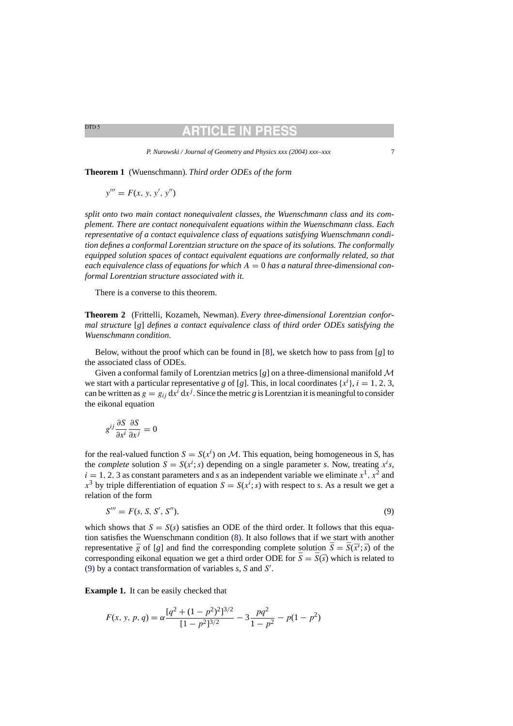## RTICLE IN PR

*P. Nurowski / Journal of Geometry and Physics xxx (2004) xxx–xxx* 7

**Theorem 1** (Wuenschmann). *Third order ODEs of the form*

 $y''' = F(x, y, y', y'')$ 

*split onto two main contact nonequivalent classes*, *the Wuenschmann class and its complement. There are contact nonequivalent equations within the Wuenschmann class. Each representative of a contact equivalence class of equations satisfying Wuenschmann condition defines a conformal Lorentzian structure on the space of its solutions. The conformally equipped solution spaces of contact equivalent equations are conformally related*, *so that each equivalence class of equations for which* A = 0 *has a natural three-dimensional conformal Lorentzian structure associated with it*.

There is a converse to this theorem.

**Theorem 2** (Frittelli, Kozameh, Newman). *Every three-dimensional Lorentzian conformal structure* [*g*] *defines a contact equivalence class of third order ODEs satisfying the Wuenschmann condition*.

Below, without the proof which can be found in [\[8\],](#page-30-0) we sketch how to pass from [*g*] to the associated class of ODEs.

Given a conformal family of Lorentzian metrics  $[g]$  on a three-dimensional manifold  $\mathcal M$ we start with a particular representative *g* of [*g*]. This, in local coordinates  $\{x^i\}$ ,  $i = 1, 2, 3$ , can be written as  $g = g_{ij} dx^{i} dx^{j}$ . Since the metric g is Lorentzian it is meaningful to consider the eikonal equation

$$
g^{ij}\frac{\partial S}{\partial x^i}\frac{\partial S}{\partial x^j} = 0
$$

for the real-valued function  $S = S(x^i)$  on M. This equation, being homogeneous in *S*, has the *complete* solution  $S = S(x^i; s)$  depending on a single parameter *s*. Now, treating  $x^i s$ ,  $i = 1, 2, 3$  as constant parameters and *s* as an independent variable we eliminate  $x<sup>1</sup>$ ,  $x<sup>2</sup>$  and  $x^3$  by triple differentiation of equation  $S = S(x^i; s)$  with respect to *s*. As a result we get a relation of the form

$$
S''' = F(s, S, S', S''),
$$
\n(9)

which shows that  $S = S(s)$  satisfies an ODE of the third order. It follows that this equation satisfies the Wuenschmann condition [\(8\).](#page-5-0) It also follows that if we start with another representative  $\bar{g}$  of [g] and find the corresponding complete solution  $\bar{S} = \bar{S}(\bar{x}^i; \bar{s})$  of the corresponding eikonal equation we get a third order ODE for  $\bar{S} = \bar{S}(\bar{s})$  which is related to (9) by a contact transformation of variables *s*, *S* and S .

**Example 1.** It can be easily checked that

$$
F(x, y, p, q) = \alpha \frac{[q^2 + (1 - p^2)^2]^{3/2}}{[1 - p^2]^{3/2}} - 3 \frac{pq^2}{1 - p^2} - p(1 - p^2)
$$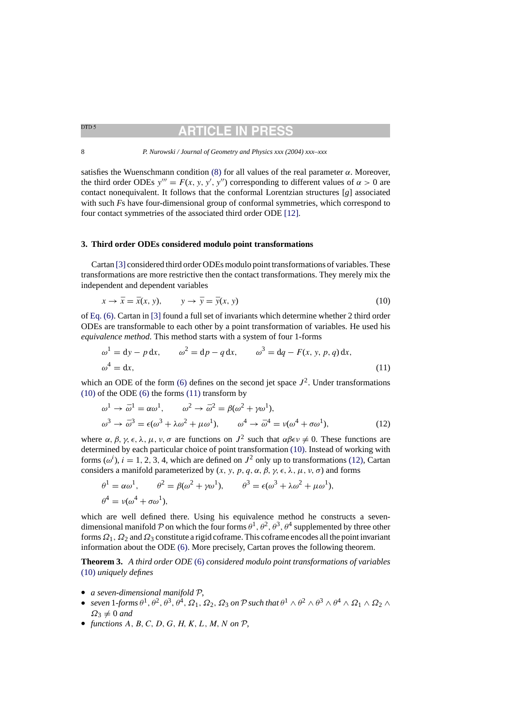# ARTICLE IN

<span id="page-7-0"></span>8 *P. Nurowski / Journal of Geometry and Physics xxx (2004) xxx–xxx*

satisfies the Wuenschmann condition [\(8\)](#page-5-0) for all values of the real parameter  $\alpha$ . Moreover, the third order ODEs  $y''' = F(x, y, y', y'')$  corresponding to different values of  $\alpha > 0$  are contact nonequivalent. It follows that the conformal Lorentzian structures [*g*] associated with such *F*s have four-dimensional group of conformal symmetries, which correspond to four contact symmetries of the associated third order ODE [\[12\].](#page-30-0)

## **3. Third order ODEs considered modulo point transformations**

Cartan [\[3\]](#page-30-0) [c](#page-30-0)onsidered third order ODEs modulo point transformations of variables. These transformations are more restrictive then the contact transformations. They merely mix the independent and dependent variables

$$
x \to \bar{x} = \bar{x}(x, y), \qquad y \to \bar{y} = \bar{y}(x, y) \tag{10}
$$

of [Eq. \(6\). C](#page-4-0)artan in [\[3\]](#page-30-0) found a full set of invariants which determine whether 2 third order ODEs are transformable to each other by a point transformation of variables. He used his *equivalence method*. This method starts with a system of four 1-forms

$$
\omega^1 = dy - p dx, \qquad \omega^2 = dp - q dx, \qquad \omega^3 = dq - F(x, y, p, q) dx,
$$
  

$$
\omega^4 = dx, \qquad (11)
$$

which an ODE of the form [\(6\)](#page-4-0) defines on the second jet space  $J^2$ . Under transformations  $(10)$  of the ODE  $(6)$  the forms  $(11)$  transform by

$$
\omega^1 \to \bar{\omega}^1 = \alpha \omega^1, \qquad \omega^2 \to \bar{\omega}^2 = \beta(\omega^2 + \gamma \omega^1),
$$
  

$$
\omega^3 \to \bar{\omega}^3 = \epsilon(\omega^3 + \lambda \omega^2 + \mu \omega^1), \qquad \omega^4 \to \bar{\omega}^4 = \nu(\omega^4 + \sigma \omega^1),
$$
 (12)

where  $\alpha$ ,  $\beta$ ,  $\gamma$ ,  $\epsilon$ ,  $\lambda$ ,  $\mu$ ,  $\nu$ ,  $\sigma$  are functions on  $J^2$  such that  $\alpha\beta\epsilon\nu\neq 0$ . These functions are determined by each particular choice of point transformation (10). Instead of working with forms ( $\omega^i$ ),  $i = 1, 2, 3, 4$ , which are defined on  $J^2$  only up to transformations (12), Cartan considers a manifold parameterized by  $(x, y, p, q, \alpha, \beta, \gamma, \epsilon, \lambda, \mu, \nu, \sigma)$  and forms

$$
\theta^1 = \alpha \omega^1, \qquad \theta^2 = \beta(\omega^2 + \gamma \omega^1), \qquad \theta^3 = \epsilon(\omega^3 + \lambda \omega^2 + \mu \omega^1),
$$
  

$$
\theta^4 = \nu(\omega^4 + \sigma \omega^1),
$$

which are well defined there. Using his equivalence method he constructs a sevendimensional manifold P on which the four forms  $\theta^1$ ,  $\theta^2$ ,  $\theta^3$ ,  $\theta^4$  supplemented by three other forms  $\Omega_1$ ,  $\Omega_2$  and  $\Omega_3$  constitute a rigid coframe. This coframe encodes all the point invariant information about the ODE [\(6\). M](#page-4-0)ore precisely, Cartan proves the following theorem.

**Theorem 3.** *A third order ODE* [\(6\)](#page-4-0) *considered modulo point transformations of variables* (10) *uniquely defines*

- *a seven-dimensional manifold* P,
- *seven* 1-*forms*  $\theta^1$ ,  $\theta^2$ ,  $\theta^3$ ,  $\theta^4$ ,  $\Omega_1$ ,  $\Omega_2$ ,  $\Omega_3$  *on* P *such that*  $\theta^1 \wedge \theta^2 \wedge \theta^3 \wedge \theta^4 \wedge \Omega_1 \wedge \Omega_2 \wedge \theta^4$  $\Omega_3 \neq 0$  and
- *functions*  $A, B, C, D, G, H, K, L, M, N$  on  $P$ ,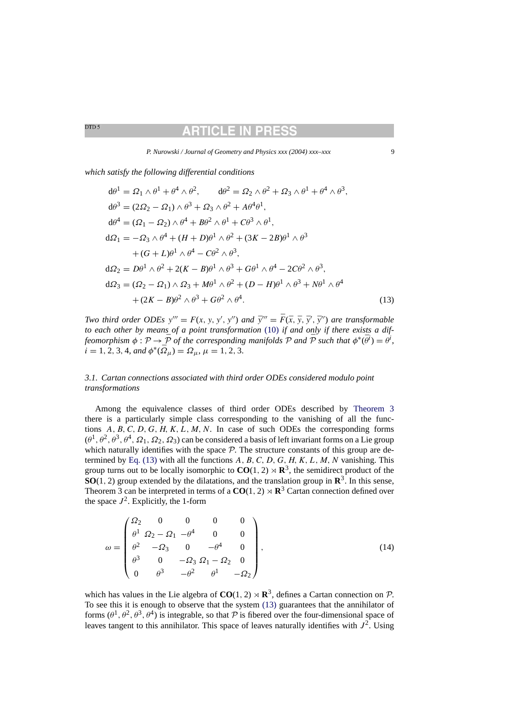*P. Nurowski / Journal of Geometry and Physics xxx (2004) xxx–xxx* 9

<span id="page-8-0"></span>*which satisfy the following differential conditions*

$$
d\theta^{1} = \Omega_{1} \wedge \theta^{1} + \theta^{4} \wedge \theta^{2}, \qquad d\theta^{2} = \Omega_{2} \wedge \theta^{2} + \Omega_{3} \wedge \theta^{1} + \theta^{4} \wedge \theta^{3},
$$
  
\n
$$
d\theta^{3} = (2\Omega_{2} - \Omega_{1}) \wedge \theta^{3} + \Omega_{3} \wedge \theta^{2} + A\theta^{4}\theta^{1},
$$
  
\n
$$
d\theta^{4} = (\Omega_{1} - \Omega_{2}) \wedge \theta^{4} + B\theta^{2} \wedge \theta^{1} + C\theta^{3} \wedge \theta^{1},
$$
  
\n
$$
d\Omega_{1} = -\Omega_{3} \wedge \theta^{4} + (H + D)\theta^{1} \wedge \theta^{2} + (3K - 2B)\theta^{1} \wedge \theta^{3}
$$
  
\n
$$
+ (G + L)\theta^{1} \wedge \theta^{4} - C\theta^{2} \wedge \theta^{3},
$$
  
\n
$$
d\Omega_{2} = D\theta^{1} \wedge \theta^{2} + 2(K - B)\theta^{1} \wedge \theta^{3} + G\theta^{1} \wedge \theta^{4} - 2C\theta^{2} \wedge \theta^{3},
$$
  
\n
$$
d\Omega_{3} = (\Omega_{2} - \Omega_{1}) \wedge \Omega_{3} + M\theta^{1} \wedge \theta^{2} + (D - H)\theta^{1} \wedge \theta^{3} + N\theta^{1} \wedge \theta^{4}
$$
  
\n
$$
+ (2K - B)\theta^{2} \wedge \theta^{3} + G\theta^{2} \wedge \theta^{4}.
$$
  
\n(13)

*Two third order ODEs*  $y''' = F(x, y, y', y'')$  *and*  $\bar{y}''' = \bar{F}(\bar{x}, \bar{y}, \bar{y}', \bar{y}'')$  *are transformable to each other by means of a point transformation* [\(10\)](#page-7-0) *if and only if there exists a diffeomorphism*  $\phi : \mathcal{P} \to \bar{\mathcal{P}}$  *of the corresponding manifolds*  $\mathcal{P}$  *and*  $\bar{\mathcal{P}}$  *such that*  $\phi^*(\bar{\theta}^i) = \theta^i$ ,  $i = 1, 2, 3, 4,$  and  $\phi^*(\bar{\Omega}_\mu) = \Omega_\mu$ ,  $\mu = 1, 2, 3$ .

## *3.1. Cartan connections associated with third order ODEs considered modulo point transformations*

Among the equivalence classes of third order ODEs described by [Theorem 3](#page-7-0) there is a particularly simple class corresponding to the vanishing of all the functions  $A, B, C, D, G, H, K, L, M, N$ . In case of such ODEs the corresponding forms  $(\theta^1, \theta^2, \theta^3, \theta^4, \Omega_1, \Omega_2, \Omega_3)$  can be considered a basis of left invariant forms on a Lie group which naturally identifies with the space  $\mathcal{P}$ . The structure constants of this group are determined by Eq.  $(13)$  with all the functions A, B, C, D, G, H, K, L, M, N vanishing. This group turns out to be locally isomorphic to  $CO(1, 2) \rtimes \mathbb{R}^3$ , the semidirect product of the **SO**(1, 2) group extended by the dilatations, and the translation group in  $\mathbb{R}^3$ . In this sense, Theorem 3 can be interpreted in terms of a  $CO(1, 2) \times \mathbb{R}^3$  Cartan connection defined over the space  $J^2$ . Explicitly, the 1-form

$$
\omega = \begin{pmatrix}\n\Omega_2 & 0 & 0 & 0 & 0 \\
\theta^1 & \Omega_2 - \Omega_1 & -\theta^4 & 0 & 0 \\
\theta^2 & -\Omega_3 & 0 & -\theta^4 & 0 \\
\theta^3 & 0 & -\Omega_3 & \Omega_1 - \Omega_2 & 0 \\
0 & \theta^3 & -\theta^2 & \theta^1 & -\Omega_2\n\end{pmatrix},
$$
\n(14)

which has values in the Lie algebra of  $CO(1, 2) \rtimes \mathbb{R}^3$ , defines a Cartan connection on P. To see this it is enough to observe that the system (13) guarantees that the annihilator of forms  $(\theta^1, \theta^2, \theta^3, \theta^4)$  is integrable, so that P is fibered over the four-dimensional space of leaves tangent to this annihilator. This space of leaves naturally identifies with  $J^2$ . Using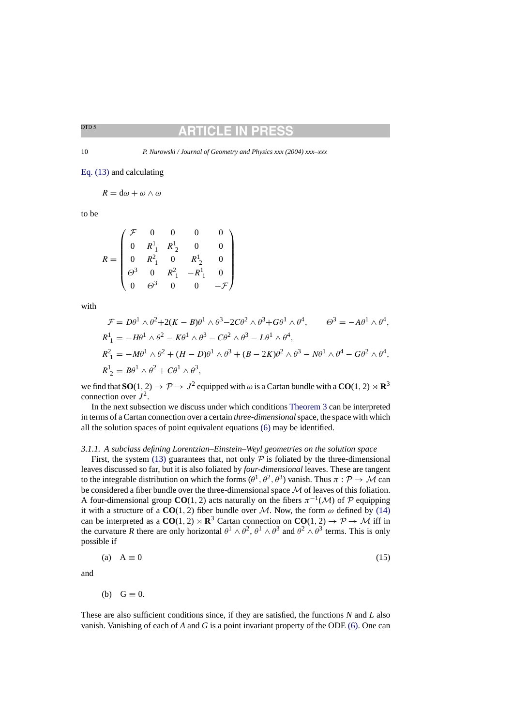## TICLE IN

<span id="page-9-0"></span>10 *P. Nurowski / Journal of Geometry and Physics xxx (2004) xxx–xxx*

[Eq. \(13\)](#page-8-0) and calculating

$$
R = d\omega + \omega \wedge \omega
$$

to be

$$
R = \begin{pmatrix} \mathcal{F} & 0 & 0 & 0 & 0 \\ 0 & R_1^1 & R_2^1 & 0 & 0 \\ 0 & R_1^2 & 0 & R_2^1 & 0 \\ \theta^3 & 0 & R_1^2 & -R_1^1 & 0 \\ 0 & \theta^3 & 0 & 0 & -\mathcal{F} \end{pmatrix}
$$

with

$$
\mathcal{F} = D\theta^1 \wedge \theta^2 + 2(K - B)\theta^1 \wedge \theta^3 - 2C\theta^2 \wedge \theta^3 + G\theta^1 \wedge \theta^4, \qquad \Theta^3 = -A\theta^1 \wedge \theta^4,
$$
  
\n
$$
R_1^1 = -H\theta^1 \wedge \theta^2 - K\theta^1 \wedge \theta^3 - C\theta^2 \wedge \theta^3 - L\theta^1 \wedge \theta^4,
$$
  
\n
$$
R_1^2 = -M\theta^1 \wedge \theta^2 + (H - D)\theta^1 \wedge \theta^3 + (B - 2K)\theta^2 \wedge \theta^3 - N\theta^1 \wedge \theta^4 - G\theta^2 \wedge \theta^4,
$$
  
\n
$$
R_2^1 = B\theta^1 \wedge \theta^2 + C\theta^1 \wedge \theta^3,
$$

we find that  $SO(1, 2) \rightarrow \mathcal{P} \rightarrow J^2$  equipped with  $\omega$  is a Cartan bundle with a  $CO(1, 2) \rtimes \mathbb{R}^3$ connection over  $J^2$ .

In the next subsection we discuss under which conditions [Theorem 3](#page-7-0) can be interpreted in terms of a Cartan connection over a certain *three-dimensional*space, the space with which all the solution spaces of point equivalent equations [\(6\)](#page-4-0) may be identified.

## *3.1.1. A subclass defining Lorentzian–Einstein–Weyl geometries on the solution space*

First, the system [\(13\)](#page-8-0) guarantees that, not only  $P$  is foliated by the three-dimensional leaves discussed so far, but it is also foliated by *four-dimensional* leaves. These are tangent to the integrable distribution on which the forms  $(\theta^1, \theta^2, \theta^3)$  vanish. Thus  $\pi : \mathcal{P} \to \mathcal{M}$  can be considered a fiber bundle over the three-dimensional space M of leaves of this foliation. A four-dimensional group **CO**(1, 2) acts naturally on the fibers  $\pi^{-1}(\mathcal{M})$  of P equipping it with a structure of a  $CO(1, 2)$  fiber bundle over M. Now, the form  $\omega$  defined by [\(14\)](#page-8-0) can be interpreted as a  $CO(1, 2) \rtimes \mathbb{R}^3$  Cartan connection on  $CO(1, 2) \rightarrow \mathcal{P} \rightarrow \mathcal{M}$  iff in the curvature *R* there are only horizontal  $\theta^1 \wedge \theta^2$ ,  $\theta^1 \wedge \theta^3$  and  $\theta^2 \wedge \theta^3$  terms. This is only possible if

$$
(a) A \equiv 0 \tag{15}
$$

and

(b)  $G \equiv 0$ .

These are also sufficient conditions since, if they are satisfied, the functions *N* and *L* also vanish. Vanishing of each of *A* and *G* is a point invariant property of the ODE [\(6\). O](#page-4-0)ne can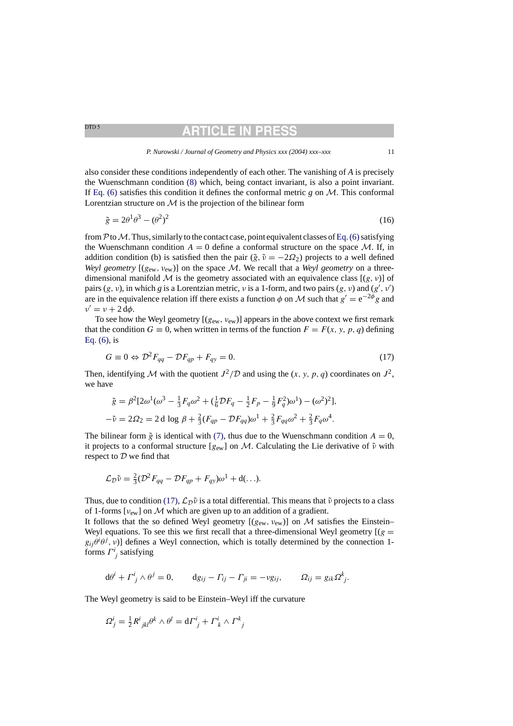## **RTICLE IN PR**

#### *P. Nurowski / Journal of Geometry and Physics xxx (2004) xxx–xxx* 11

<span id="page-10-0"></span>also consider these conditions independently of each other. The vanishing of *A* is precisely the Wuenschmann condition [\(8\)](#page-5-0) which, being contact invariant, is also a point invariant. If [Eq. \(6\)](#page-4-0) satisfies this condition it defines the conformal metric  $g$  on  $\mathcal{M}$ . This conformal Lorentzian structure on  $M$  is the projection of the bilinear form

$$
\tilde{g} = 2\theta^1 \theta^3 - (\theta^2)^2 \tag{16}
$$

from P to M. Thus, similarly to the contact case, point equivalent classes of Eq. (6) satisfying the Wuenschmann condition  $A = 0$  define a conformal structure on the space M. If, in addition condition (b) is satisfied then the pair ( $\tilde{g}$ ,  $\tilde{v} = -2\Omega_2$ ) projects to a well defined *Weyl geometry*  $[(g_{ew}, v_{ew})]$  on the space M. We recall that a *Weyl geometry* on a threedimensional manifold M is the geometry associated with an equivalence class  $[(g, v)]$  of pairs  $(g, v)$ , in which *g* is a Lorentzian metric, *v* is a 1-form, and two pairs  $(g, v)$  and  $(g', v')$ are in the equivalence relation iff there exists a function  $\phi$  on M such that  $g' = e^{-2\phi}g$  and  $v' = v + 2 d\phi.$ 

To see how the Weyl geometry  $[(g_{ew}, v_{ew})]$  appears in the above context we first remark that the condition  $G \equiv 0$ , when written in terms of the function  $F = F(x, y, p, q)$  defining [Eq. \(6\),](#page-4-0) is

$$
G \equiv 0 \Leftrightarrow \mathcal{D}^2 F_{qq} - \mathcal{D} F_{qp} + F_{qy} = 0. \tag{17}
$$

Then, identifying M with the quotient  $J^2/D$  and using the  $(x, y, p, q)$  coordinates on  $J^2$ , we have

$$
\tilde{g} = \beta^2 [2\omega^1(\omega^3 - \frac{1}{3}F_q\omega^2 + (\frac{1}{6}\mathcal{D}F_q - \frac{1}{2}F_p - \frac{1}{9}F_q^2)\omega^1) - (\omega^2)^2],
$$
  

$$
-\tilde{v} = 2\Omega_2 = 2 d \log \beta + \frac{2}{3}(F_{qp} - \mathcal{D}F_{qq})\omega^1 + \frac{2}{3}F_{qq}\omega^2 + \frac{2}{3}F_q\omega^4.
$$

The bilinear form  $\tilde{g}$  is identical with [\(7\),](#page-4-0) thus due to the Wuenschmann condition  $A = 0$ , it projects to a conformal structure  $[g_{ew}]$  on M. Calculating the Lie derivative of  $\tilde{\nu}$  with respect to  $D$  we find that

$$
\mathcal{L}_{\mathcal{D}}\tilde{\nu} = \frac{2}{3}(\mathcal{D}^2 F_{qq} - \mathcal{D}F_{qp} + F_{qy})\omega^1 + d(\ldots).
$$

Thus, due to condition (17),  $\mathcal{L}_{\mathcal{D}}\tilde{\nu}$  is a total differential. This means that  $\tilde{\nu}$  projects to a class of 1-forms  $[\nu_{ew}]$  on M which are given up to an addition of a gradient.

It follows that the so defined Weyl geometry  $[(g_{ew}, v_{ew})]$  on M satisfies the Einstein– Weyl equations. To see this we first recall that a three-dimensional Weyl geometry  $[(g =$  $g_{ij}\theta^i\theta^j$ ,  $v$ )] defines a Weyl connection, which is totally determined by the connection 1forms  $\Gamma^i_{j}$  satisfying

$$
d\theta^{i} + \Gamma^{i}_{j} \wedge \theta^{j} = 0, \qquad dg_{ij} - \Gamma_{ij} - \Gamma_{ji} = -\nu g_{ij}, \qquad \Omega_{ij} = g_{ik}\Omega^{k}_{j}.
$$

The Weyl geometry is said to be Einstein–Weyl iff the curvature

$$
\Omega_j^i = \frac{1}{2} R^i_{\ jkl} \theta^k \wedge \theta^l = d\Gamma^i_{\ j} + \Gamma^i_{\ k} \wedge \Gamma^k_{\ j}
$$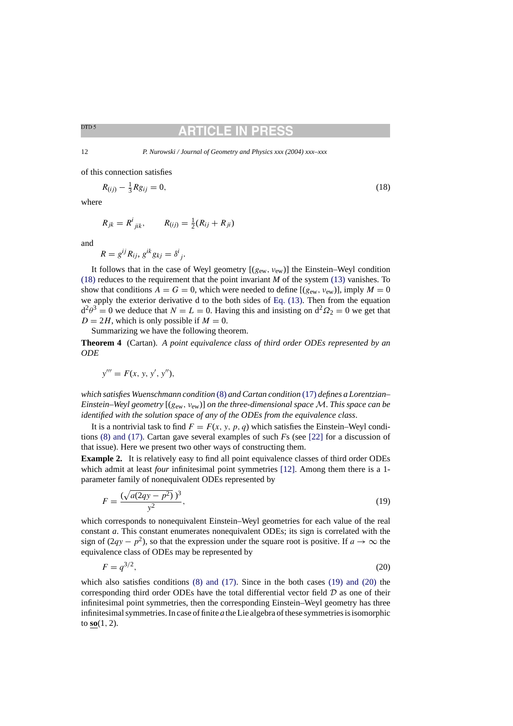## TICLE IN

<span id="page-11-0"></span>12 *P. Nurowski / Journal of Geometry and Physics xxx (2004) xxx–xxx*

of this connection satisfies

$$
R_{(ij)} - \frac{1}{3} R g_{ij} = 0,\t\t(18)
$$

where

$$
R_{jk} = R^{i}_{jik}, \qquad R_{(ij)} = \frac{1}{2}(R_{ij} + R_{ji})
$$

and

$$
R = g^{ij} R_{ij}, g^{ik} g_{kj} = \delta^i_{\ j}.
$$

It follows that in the case of Weyl geometry  $[(g_{ew}, v_{ew})]$  the Einstein–Weyl condition (18) reduces to the requirement that the point invariant *M* of the system [\(13\)](#page-8-0) vanishes. To show that conditions  $A = G = 0$ , which were needed to define  $[(g_{ew}, v_{ew})]$ , imply  $M = 0$ we apply the exterior derivative d to the both sides of [Eq. \(13\).](#page-8-0) Then from the equation  $d^2\theta^3 = 0$  we deduce that  $N = L = 0$ . Having this and insisting on  $d^2\Omega_2 = 0$  we get that  $D = 2H$ , which is only possible if  $M = 0$ .

Summarizing we have the following theorem.

**Theorem 4** (Cartan). *A point equivalence class of third order ODEs represented by an ODE*

$$
y''' = F(x, y, y', y''),
$$

*which satisfies Wuenschmann condition* [\(8\)](#page-5-0) *and Cartan condition* [\(17\)](#page-10-0) *defines a Lorentzian– Einstein–Weyl geometry* [(gew, νew)] *on the three-dimensional space* M. *This space can be identified with the solution space of any of the ODEs from the equivalence class*.

It is a nontrivial task to find  $F = F(x, y, p, q)$  which satisfies the Einstein–Weyl conditions [\(8\) and \(17\).](#page-5-0) Cartan gave several examples of such *F*s (see [\[22\]](#page-30-0) for a discussion of that issue). Here we present two other ways of constructing them.

**Example 2.** It is relatively easy to find all point equivalence classes of third order ODEs which admit at least *four* infinitesimal point symmetries [\[12\].](#page-30-0) Among them there is a 1parameter family of nonequivalent ODEs represented by

$$
F = \frac{(\sqrt{a(2qy - p^2)})^3}{y^2},\tag{19}
$$

which corresponds to nonequivalent Einstein–Weyl geometries for each value of the real constant *a*. This constant enumerates nonequivalent ODEs; its sign is correlated with the sign of  $(2qy - p^2)$ , so that the expression under the square root is positive. If  $a \to \infty$  the equivalence class of ODEs may be represented by

$$
F = q^{3/2},\tag{20}
$$

which also satisfies conditions  $(8)$  and  $(17)$ . Since in the both cases  $(19)$  and  $(20)$  the corresponding third order ODEs have the total differential vector field  $D$  as one of their infinitesimal point symmetries, then the corresponding Einstein–Weyl geometry has three infinitesimal symmetries. In case of finite *a* the Lie algebra of these symmetries is isomorphic to **so**(1, 2).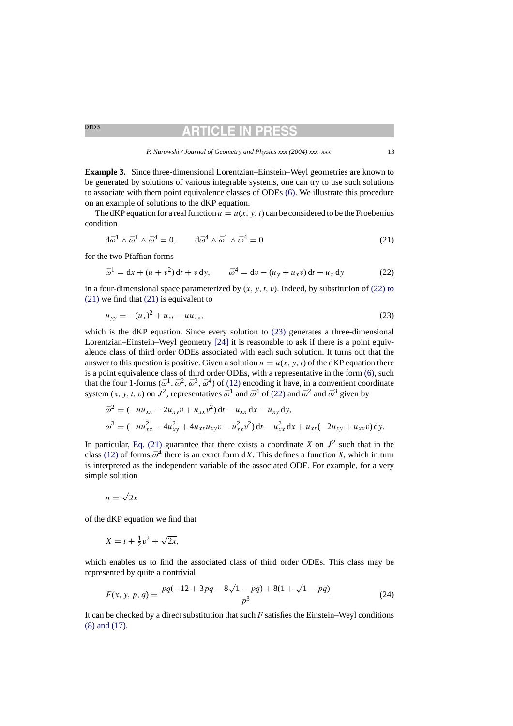*P. Nurowski / Journal of Geometry and Physics xxx (2004) xxx–xxx* 13

**RTICLE IN PR** 

<span id="page-12-0"></span>**Example 3.** Since three-dimensional Lorentzian–Einstein–Weyl geometries are known to be generated by solutions of various integrable systems, one can try to use such solutions to associate with them point equivalence classes of ODEs [\(6\).](#page-4-0) We illustrate this procedure on an example of solutions to the dKP equation.

The dKP equation for a real function  $u = u(x, y, t)$  can be considered to be the Froebenius condition

$$
d\bar{\omega}^1 \wedge \bar{\omega}^1 \wedge \bar{\omega}^4 = 0, \qquad d\bar{\omega}^4 \wedge \bar{\omega}^1 \wedge \bar{\omega}^4 = 0 \tag{21}
$$

for the two Pfaffian forms

$$
\bar{\omega}^{1} = dx + (u + v^{2}) dt + v dy, \qquad \bar{\omega}^{4} = dv - (u_{y} + u_{x}v) dt - u_{x} dy
$$
 (22)

in a four-dimensional space parameterized by  $(x, y, t, v)$ . Indeed, by substitution of (22) to (21) we find that (21) is equivalent to

$$
u_{yy} = -(u_x)^2 + u_{xt} - uu_{xx},
$$
\n(23)

which is the dKP equation. Since every solution to (23) generates a three-dimensional Lorentzian–Einstein–Weyl geometry [\[24\]](#page-30-0) it is reasonable to ask if there is a point equivalence class of third order ODEs associated with each such solution. It turns out that the answer to this question is positive. Given a solution  $u = u(x, y, t)$  of the dKP equation there is a point equivalence class of third order ODEs, with a representative in the form [\(6\), s](#page-4-0)uch that the four 1-forms  $(\bar{\omega}^1, \bar{\omega}^2, \bar{\omega}^3, \bar{\omega}^4)$  of [\(12\)](#page-7-0) encoding it have, in a convenient coordinate system  $(x, y, t, v)$  on  $J^2$ , representatives  $\bar{\omega}^1$  and  $\bar{\omega}^4$  of (22) and  $\bar{\omega}^2$  and  $\bar{\omega}^3$  given by

$$
\bar{\omega}^2 = (-uu_{xx} - 2u_{xy}v + u_{xx}v^2) dt - u_{xx} dx - u_{xy} dy,
$$
  
\n
$$
\bar{\omega}^3 = (-uu_{xx}^2 - 4u_{xy}^2 + 4u_{xx}u_{xy}v - u_{xx}^2v^2) dt - u_{xx}^2 dx + u_{xx}(-2u_{xy} + u_{xx}v) dy.
$$

In particular, Eq. (21) guarantee that there exists a coordinate *X* on  $J^2$  such that in the class [\(12\)](#page-7-0) of forms  $\bar{\omega}^4$  there is an exact form dX. This defines a function X, which in turn is interpreted as the independent variable of the associated ODE. For example, for a very simple solution

$$
u=\sqrt{2x}
$$

of the dKP equation we find that

$$
X = t + \frac{1}{2}v^2 + \sqrt{2x},
$$

which enables us to find the associated class of third order ODEs. This class may be represented by quite a nontrivial

$$
F(x, y, p, q) = \frac{pq(-12 + 3pq - 8\sqrt{1 - pq}) + 8(1 + \sqrt{1 - pq})}{p^3}.
$$
 (24)

It can be checked by a direct substitution that such *F* satisfies the Einstein–Weyl conditions [\(8\) and \(17\).](#page-5-0)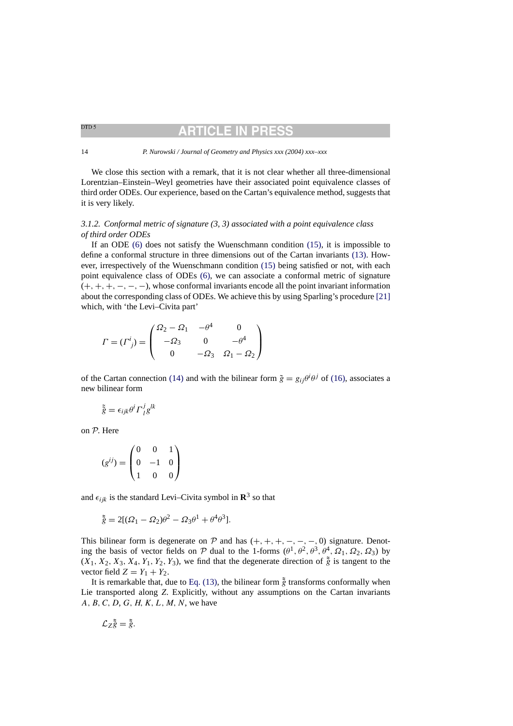# ARTICLE IN

#### <span id="page-13-0"></span>14 *P. Nurowski / Journal of Geometry and Physics xxx (2004) xxx–xxx*

We close this section with a remark, that it is not clear whether all three-dimensional Lorentzian–Einstein–Weyl geometries have their associated point equivalence classes of third order ODEs. Our experience, based on the Cartan's equivalence method, suggests that it is very likely.

## *3.1.2. Conformal metric of signature (3, 3) associated with a point equivalence class of third order ODEs*

If an ODE [\(6\)](#page-4-0) does not satisfy the Wuenschmann condition [\(15\),](#page-9-0) it is impossible to define a conformal structure in three dimensions out of the Cartan invariants [\(13\).](#page-8-0) However, irrespectively of the Wuenschmann condition [\(15\)](#page-9-0) being satisfied or not, with each point equivalence class of ODEs [\(6\),](#page-4-0) we can associate a conformal metric of signature  $(+, +, +, -, -, -)$ , whose conformal invariants encode all the point invariant information about the corresponding class of ODEs. We achieve this by using Sparling's procedure [\[21\]](#page-30-0) which, with 'the Levi–Civita part'

$$
\Gamma = (\Gamma^i_{\ j}) = \begin{pmatrix} \Omega_2 - \Omega_1 & -\theta^4 & 0 \\ -\Omega_3 & 0 & -\theta^4 \\ 0 & -\Omega_3 & \Omega_1 - \Omega_2 \end{pmatrix}
$$

of the Cartan connection [\(14\)](#page-8-0) and with the bilinear form  $\tilde{g} = g_{ij}\theta^i\theta^j$  of [\(16\),](#page-10-0) associates a new bilinear form

$$
\tilde{\tilde{g}} = \epsilon_{ijk}\theta^i \Gamma^j_{\ l} g^{lk}
$$

on P. Here

$$
(g^{ij}) = \begin{pmatrix} 0 & 0 & 1 \\ 0 & -1 & 0 \\ 1 & 0 & 0 \end{pmatrix}
$$

and  $\epsilon_{ijk}$  is the standard Levi–Civita symbol in  $\mathbb{R}^3$  so that

$$
\tilde{\tilde{g}} = 2[(\Omega_1 - \Omega_2)\theta^2 - \Omega_3\theta^1 + \theta^4\theta^3].
$$

This bilinear form is degenerate on  $P$  and has  $(+, +, +, -, -, -, 0)$  signature. Denoting the basis of vector fields on P dual to the 1-forms  $(\theta^1, \theta^2, \theta^3, \theta^4, \Omega_1, \Omega_2, \Omega_3)$  by  $(X_1, X_2, X_3, X_4, Y_1, Y_2, Y_3)$ , we find that the degenerate direction of  $\tilde{g}$  is tangent to the vector field  $Z = Y_1 + Y_2$ .

It is remarkable that, due to [Eq. \(13\), t](#page-8-0)he bilinear form  $\tilde{g}$  transforms conformally when Lie transported along *Z*. Explicitly, without any assumptions on the Cartan invariants  $A, B, C, D, G, H, K, L, M, N$ , we have

$$
\mathcal{L}_Z\tilde{\tilde{g}}=\tilde{\tilde{g}}.
$$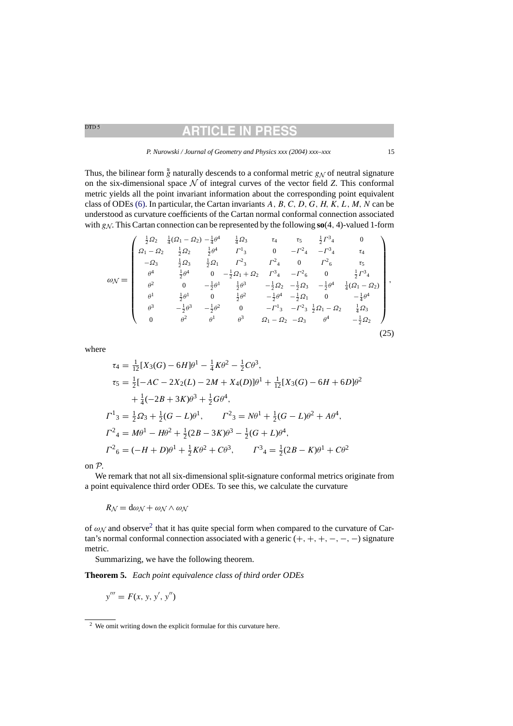## RTICLE IN PR

<span id="page-14-0"></span>Thus, the bilinear form  $\tilde{g}$  naturally descends to a conformal metric  $g_N$  of neutral signature on the six-dimensional space  $N$  of integral curves of the vector field *Z*. This conformal metric yields all the point invariant information about the corresponding point equivalent class of ODEs [\(6\). I](#page-4-0)n particular, the Cartan invariants  $A, B, C, D, G, H, K, L, M, N$  can be understood as curvature coefficients of the Cartan normal conformal connection associated with  $g_N$ . This Cartan connection can be represented by the following  $\mathbf{so}(4, 4)$ -valued 1-form

$$
\omega_{\mathcal{N}} = \begin{pmatrix}\n\frac{1}{2}\Omega_2 & \frac{1}{4}(\Omega_1 - \Omega_2) - \frac{1}{4}\theta^4 & \frac{1}{4}\Omega_3 & \tau_4 & \tau_5 & \frac{1}{2}\Gamma^3{}_4 & 0 \\
\Omega_1 - \Omega_2 & \frac{1}{2}\Omega_2 & \frac{1}{2}\theta^4 & \Gamma^1{}_3 & 0 & -\Gamma^2{}_4 & -\Gamma^3{}_4 & \tau_4 \\
-\Omega_3 & \frac{1}{2}\Omega_3 & \frac{1}{2}\Omega_1 & \Gamma^2{}_3 & \Gamma^2{}_4 & 0 & \Gamma^2{}_6 & \tau_5 \\
\theta^4 & \frac{1}{2}\theta^4 & 0 & -\frac{1}{2}\Omega_1 + \Omega_2 & \Gamma^3{}_4 & -\Gamma^2{}_6 & 0 & \frac{1}{2}\Gamma^3{}_4 \\
\theta^2 & 0 & -\frac{1}{2}\theta^1 & \frac{1}{2}\theta^3 & -\frac{1}{2}\Omega_2 & -\frac{1}{2}\Omega_3 & -\frac{1}{2}\theta^4 & \frac{1}{4}(\Omega_1 - \Omega_2) \\
\theta^1 & \frac{1}{2}\theta^1 & 0 & \frac{1}{2}\theta^2 & -\frac{1}{2}\theta^4 & -\frac{1}{2}\Omega_1 & 0 & -\frac{1}{4}\theta^4 \\
\theta^3 & -\frac{1}{2}\theta^3 & -\frac{1}{2}\theta^2 & 0 & -\Gamma^1{}_3 & -\Gamma^2{}_3 & \frac{1}{2}\Omega_1 - \Omega_2 & \frac{1}{4}\Omega_3 \\
0 & \theta^2 & \theta^1 & \theta^3 & \Omega_1 - \Omega_2 & -\Omega_3 & \theta^4 & -\frac{1}{2}\Omega_2\n\end{pmatrix},
$$
\n(25)

where

$$
\tau_4 = \frac{1}{12} [X_3(G) - 6H]\theta^1 - \frac{1}{4}K\theta^2 - \frac{1}{2}C\theta^3,
$$
  
\n
$$
\tau_5 = \frac{1}{2} [-AC - 2X_2(L) - 2M + X_4(D)]\theta^1 + \frac{1}{12} [X_3(G) - 6H + 6D]\theta^2
$$
  
\n
$$
+ \frac{1}{4} (-2B + 3K)\theta^3 + \frac{1}{2}G\theta^4,
$$
  
\n
$$
\Gamma^1_3 = \frac{1}{2}S_3 + \frac{1}{2}(G - L)\theta^1, \qquad \Gamma^2_3 = N\theta^1 + \frac{1}{2}(G - L)\theta^2 + A\theta^4,
$$
  
\n
$$
\Gamma^2_4 = M\theta^1 - H\theta^2 + \frac{1}{2}(2B - 3K)\theta^3 - \frac{1}{2}(G + L)\theta^4,
$$
  
\n
$$
\Gamma^2_6 = (-H + D)\theta^1 + \frac{1}{2}K\theta^2 + C\theta^3, \qquad \Gamma^3_4 = \frac{1}{2}(2B - K)\theta^1 + C\theta^2
$$

on P.

We remark that not all six-dimensional split-signature conformal metrics originate from a point equivalence third order ODEs. To see this, we calculate the curvature

 $R_N = d\omega_N + \omega_N \wedge \omega_N$ 

of  $\omega_N$  and observe<sup>2</sup> that it has quite special form when compared to the curvature of Cartan's normal conformal connection associated with a generic  $(+, +, +, -, -, -)$  signature metric.

Summarizing, we have the following theorem.

**Theorem 5.** *Each point equivalence class of third order ODEs*

$$
y''' = F(x, y, y', y'')
$$

<sup>2</sup> We omit writing down the explicit formulae for this curvature here.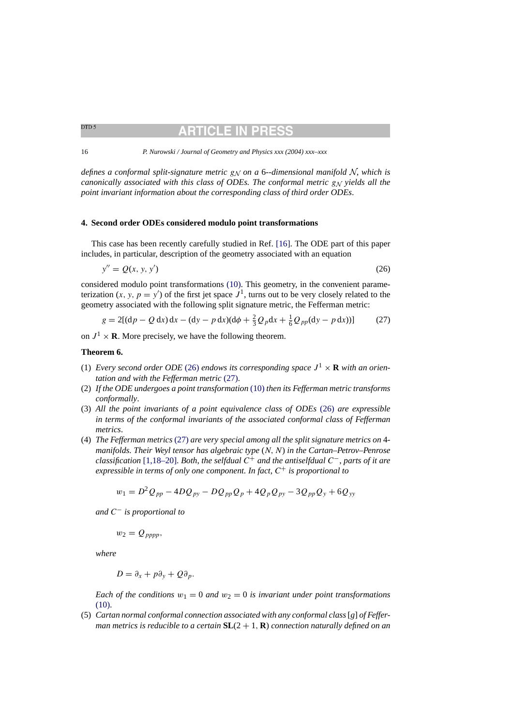BITICLE IN

<span id="page-15-0"></span>16 *P. Nurowski / Journal of Geometry and Physics xxx (2004) xxx–xxx*

*defines a conformal split-signature metric*  $g_N$  *on a* 6--dimensional manifold  $N$ , which is *canonically associated with this class of ODEs. The conformal metric g<sub>N</sub> yields all the point invariant information about the corresponding class of third order ODEs*.

### **4. Second order ODEs considered modulo point transformations**

This case has been recently carefully studied in Ref. [\[16\].](#page-30-0) The ODE part of this paper includes, in particular, description of the geometry associated with an equation

$$
y'' = Q(x, y, y') \tag{26}
$$

considered modulo point transformations [\(10\).](#page-7-0) This geometry, in the convenient parameterization  $(x, y, p = y')$  of the first jet space  $J<sup>1</sup>$ , turns out to be very closely related to the geometry associated with the following split signature metric, the Fefferman metric:

$$
g = 2[(dp - Q dx)dx - (dy - p dx)(d\phi + \frac{2}{3}Q_p dx + \frac{1}{6}Q_{pp}(dy - p dx))]
$$
(27)

on  $J^1 \times \mathbf{R}$ . More precisely, we have the following theorem.

#### **Theorem 6.**

- (1) *Every second order ODE* (26) *endows its corresponding space*  $J^1 \times \mathbf{R}$  *with an orientation and with the Fefferman metric* (27).
- (2) *If the ODE undergoes a point transformation* [\(10\)](#page-7-0) *then its Fefferman metric transforms conformally*.
- (3) *All the point invariants of a point equivalence class of ODEs* (26) *are expressible in terms of the conformal invariants of the associated conformal class of Fefferman metrics*.
- (4) *The Fefferman metrics* (27) *are very special among all the split signature metrics on* 4 *manifolds. Their Weyl tensor has algebraic type* (N, N) *in the Cartan–Petrov–Penrose classification* [\[1,18–20\].](#page-30-0) *Both*, *the selfdual* C<sup>+</sup> *and the antiselfdual* C−, *parts of it are expressible in terms of only one component. In fact,*  $C^+$  *is proportional to*

$$
w_1 = D^2 Q_{pp} - 4DQ_{py} - DQ_{pp}Q_p + 4Q_p Q_{py} - 3Q_{pp}Q_y + 6Q_{yy}
$$

*and* C<sup>−</sup> *is proportional to*

 $w_2 = Q_{pppp},$ 

*where*

$$
D=\partial_x+p\partial_y+Q\partial_p.
$$

*Each of the conditions*  $w_1 = 0$  *and*  $w_2 = 0$  *is invariant under point transformations* [\(10\).](#page-7-0)

(5) *Cartan normal conformal connection associated with any conformal class*[*g*] *of Fefferman metrics is reducible to a certain* **SL**(2 + 1, **R**) *connection naturally defined on an*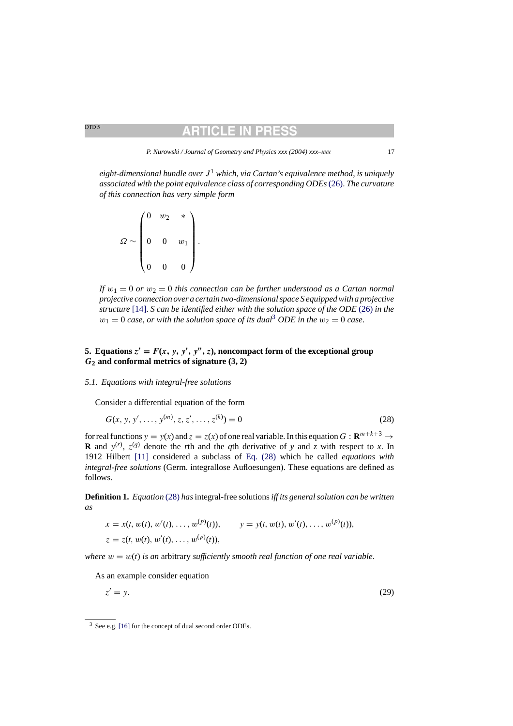## RTICLE IN

*P. Nurowski / Journal of Geometry and Physics xxx (2004) xxx–xxx* 17

<span id="page-16-0"></span>*eight-dimensional bundle over* J<sup>1</sup> *which*, *via Cartan's equivalence method*, *is uniquely associated with the point equivalence class of corresponding ODEs*[\(26\).](#page-15-0) *The curvature of this connection has very simple form*

$$
\Omega \sim \begin{pmatrix} 0 & w_2 & * \\ & & & \\ 0 & 0 & w_1 \\ & & & \\ 0 & 0 & 0 \end{pmatrix}.
$$

*If*  $w_1 = 0$  *or*  $w_2 = 0$  *this connection can be further understood as a Cartan normal projective connection over a certain two-dimensional space S equipped with a projective structure* [\[14\].](#page-30-0) *S can be identified either with the solution space of the ODE* [\(26\)](#page-15-0) *in the*  $w_1 = 0$  *case, or with the solution space of its dual*<sup>3</sup> *ODE in the*  $w_2 = 0$  *case.* 

## **5.** Equations  $z' = F(x, y, y', y'', z)$ , noncompact form of the exceptional group *G***<sup>2</sup> and conformal metrics of signature (3, 2)**

#### *5.1. Equations with integral-free solutions*

Consider a differential equation of the form

$$
G(x, y, y', \dots, y^{(m)}, z, z', \dots, z^{(k)}) = 0
$$
\n(28)

for real functions  $y = y(x)$  and  $z = z(x)$  of one real variable. In this equation  $G: \mathbb{R}^{m+k+3} \to$ **R** and  $y^{(r)}$ ,  $z^{(q)}$  denote the *r*th and the *q*th derivative of *y* and *z* with respect to *x*. In 1912 Hilbert [\[11\]](#page-30-0) considered a subclass of Eq. (28) which he called *equations with integral-free solutions* (Germ. integrallose Aufloesungen). These equations are defined as follows.

**Definition 1.** *Equation* (28) *has*integral-free solutions*iff its general solution can be written as*

$$
x = x(t, w(t), w'(t), \dots, w^{(p)}(t)), \qquad y = y(t, w(t), w'(t), \dots, w^{(p)}(t)),
$$
  
\n
$$
z = z(t, w(t), w'(t), \dots, w^{(p)}(t)),
$$

*where*  $w = w(t)$  *is an arbitrary sufficiently smooth real function of one real variable.* 

As an example consider equation

$$
z' = y.\tag{29}
$$

<sup>3</sup> See e.g. [\[16\]](#page-30-0) [fo](#page-30-0)r the concept of dual second order ODEs.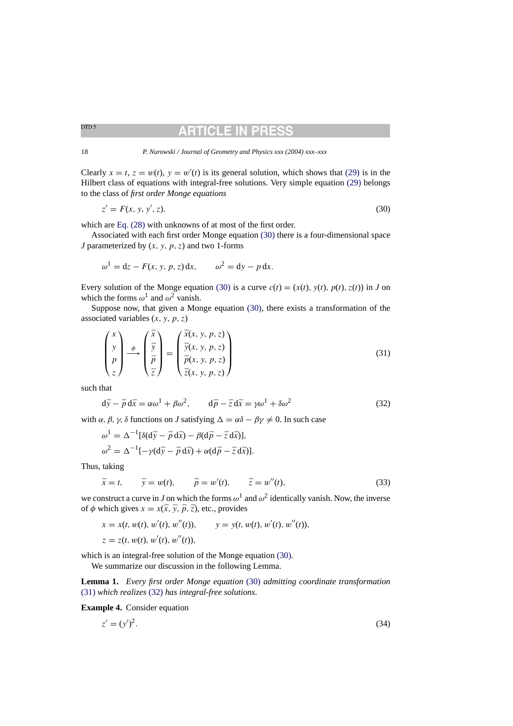## TICLE IN

<span id="page-17-0"></span>Clearly  $x = t$ ,  $z = w(t)$ ,  $y = w'(t)$  is its general solution, which shows that [\(29\)](#page-16-0) is in the Hilbert class of equations with integral-free solutions. Very simple equation [\(29\)](#page-16-0) belongs to the class of *first order Monge equations*

$$
z' = F(x, y, y', z),\tag{30}
$$

which are [Eq. \(28\)](#page-16-0) with unknowns of at most of the first order.

Associated with each first order Monge equation (30) there is a four-dimensional space *J* parameterized by  $(x, y, p, z)$  and two 1-forms

$$
\omega^1 = dz - F(x, y, p, z) dx, \qquad \omega^2 = dy - p dx.
$$

Every solution of the Monge equation (30) is a curve  $c(t) = (x(t), y(t), p(t), z(t))$  in *J* on which the forms  $\omega^1$  and  $\omega^2$  vanish.

Suppose now, that given a Monge equation (30), there exists a transformation of the associated variables  $(x, y, p, z)$ 

$$
\begin{pmatrix} x \\ y \\ p \\ z \end{pmatrix} \xrightarrow{\phi} \begin{pmatrix} \bar{x} \\ \bar{y} \\ \bar{p} \\ \bar{z} \end{pmatrix} = \begin{pmatrix} \bar{x}(x, y, p, z) \\ \bar{y}(x, y, p, z) \\ \bar{p}(x, y, p, z) \\ \bar{z}(x, y, p, z) \end{pmatrix}
$$
(31)

such that

$$
d\bar{y} - \bar{p} d\bar{x} = \alpha \omega^1 + \beta \omega^2, \qquad d\bar{p} - \bar{z} d\bar{x} = \gamma \omega^1 + \delta \omega^2 \tag{32}
$$

with  $\alpha$ ,  $\beta$ ,  $\gamma$ ,  $\delta$  functions on *J* satisfying  $\Delta = \alpha \delta - \beta \gamma \neq 0$ . In such case

$$
\omega^1 = \Delta^{-1} [\delta(\mathrm{d}\bar{y} - \bar{p}\,\mathrm{d}\bar{x}) - \beta(\mathrm{d}\bar{p} - \bar{z}\,\mathrm{d}\bar{x})],
$$
  

$$
\omega^2 = \Delta^{-1} [-\gamma(\mathrm{d}\bar{y} - \bar{p}\,\mathrm{d}\bar{x}) + \alpha(\mathrm{d}\bar{p} - \bar{z}\,\mathrm{d}\bar{x})].
$$

Thus, taking

$$
\bar{x} = t, \qquad \bar{y} = w(t), \qquad \bar{p} = w'(t), \qquad \bar{z} = w''(t),
$$
\n(33)

we construct a curve in *J* on which the forms  $\omega^1$  and  $\omega^2$  identically vanish. Now, the inverse of  $\phi$  which gives  $x = x(\bar{x}, \bar{y}, \bar{p}, \bar{z})$ , etc., provides

$$
x = x(t, w(t), w'(t), w''(t)), \qquad y = y(t, w(t), w'(t), w''(t)),
$$
  

$$
z = z(t, w(t), w'(t), w''(t)),
$$

which is an integral-free solution of the Monge equation (30).

We summarize our discussion in the following Lemma.

**Lemma 1.** *Every first order Monge equation* (30) *admitting coordinate transformation* (31) *which realizes* (32) *has integral-free solutions*.

**Example 4.** Consider equation

$$
z' = (y')^2. \tag{34}
$$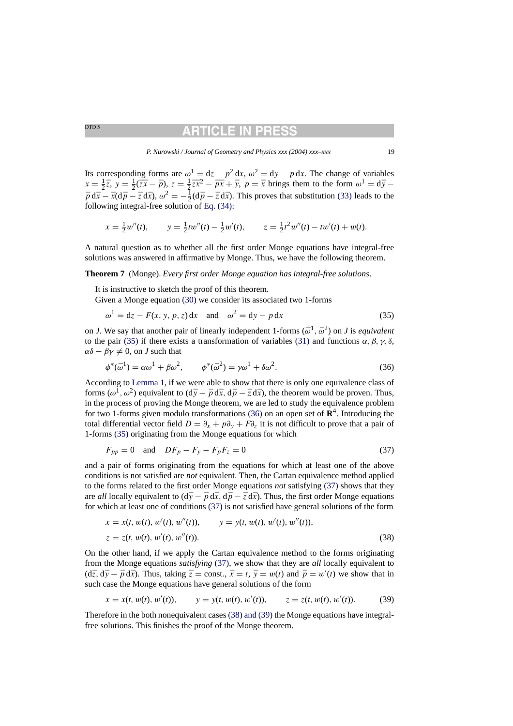## TICLE IN

*P. Nurowski / Journal of Geometry and Physics xxx (2004) xxx–xxx* 19

Its corresponding forms are  $\omega^1 = dz - p^2 dx$ ,  $\omega^2 = dy - p dx$ . The change of variables  $x = \frac{1}{2}\overline{z}$ ,  $y = \frac{1}{2}(\overline{z}\overline{x} - \overline{p})$ ,  $z = \frac{1}{2}\overline{z}\overline{x}^2 - \overline{p}\overline{x} + \overline{y}$ ,  $p = \overline{x}$  brings them to the form  $\omega^1 = d\overline{y} - d\overline{y}$  $\bar{p} d\bar{x} - \bar{x}(d\bar{p} - \bar{z} d\bar{x}), \omega^2 = -\frac{1}{2}(d\bar{p} - \bar{z} d\bar{x}).$  This proves that substitution [\(33\)](#page-17-0) leads to the following integral-free solution of [Eq. \(34\):](#page-17-0)

$$
x = \frac{1}{2}w''(t)
$$
,  $y = \frac{1}{2}tw''(t) - \frac{1}{2}w'(t)$ ,  $z = \frac{1}{2}t^2w''(t) - tw'(t) + w(t)$ .

A natural question as to whether all the first order Monge equations have integral-free solutions was answered in affirmative by Monge. Thus, we have the following theorem.

**Theorem 7** (Monge). *Every first order Monge equation has integral-free solutions*.

It is instructive to sketch the proof of this theorem.

Given a Monge equation [\(30\)](#page-17-0) we consider its associated two 1-forms

$$
\omega^1 = dz - F(x, y, p, z) dx \quad \text{and} \quad \omega^2 = dy - p dx \tag{35}
$$

on *J*. We say that another pair of linearly independent 1-forms  $(\bar{\omega}^1, \bar{\omega}^2)$  on *J* is *equivalent* to the pair (35) if there exists a transformation of variables [\(31\)](#page-17-0) and functions  $\alpha$ ,  $\beta$ ,  $\gamma$ ,  $\delta$ ,  $\alpha\delta - \beta\gamma \neq 0$ , on *J* such that

$$
\phi^*(\bar{\omega}^1) = \alpha \omega^1 + \beta \omega^2, \qquad \phi^*(\bar{\omega}^2) = \gamma \omega^1 + \delta \omega^2.
$$
 (36)

According to [Lemma 1, i](#page-17-0)f we were able to show that there is only one equivalence class of forms ( $\omega^1$ ,  $\omega^2$ ) equivalent to ( $d\bar{y} - \bar{p} d\bar{x}$ ,  $d\bar{p} - \bar{z} d\bar{x}$ ), the theorem would be proven. Thus, in the process of proving the Monge theorem, we are led to study the equivalence problem for two 1-forms given modulo transformations (36) on an open set of  $\mathbb{R}^4$ . Introducing the total differential vector field  $D = \partial_x + p\partial_y + F\partial_z$  it is not difficult to prove that a pair of 1-forms (35) originating from the Monge equations for which

$$
F_{pp} = 0 \quad \text{and} \quad DF_p - F_y - F_p F_z = 0 \tag{37}
$$

and a pair of forms originating from the equations for which at least one of the above conditions is not satisfied are *not* equivalent. Then, the Cartan equivalence method applied to the forms related to the first order Monge equations *not* satisfying (37) shows that they are *all* locally equivalent to  $(d\bar{y} - \bar{p} d\bar{x}, d\bar{p} - \bar{z} d\bar{x})$ . Thus, the first order Monge equations for which at least one of conditions (37) is not satisfied have general solutions of the form

$$
x = x(t, w(t), w'(t), w''(t)), \qquad y = y(t, w(t), w'(t), w''(t)),
$$
  

$$
z = z(t, w(t), w'(t), w''(t)).
$$
 (38)

On the other hand, if we apply the Cartan equivalence method to the forms originating from the Monge equations *satisfying* (37), we show that they are *all* locally equivalent to  $(d\bar{z}, d\bar{y} - \bar{p} d\bar{x})$ . Thus, taking  $\bar{z} = \text{const.}$ ,  $\bar{x} = t$ ,  $\bar{y} = w(t)$  and  $\bar{p} = w'(t)$  we show that in such case the Monge equations have general solutions of the form

$$
x = x(t, w(t), w'(t)),
$$
  $y = y(t, w(t), w'(t)),$   $z = z(t, w(t), w'(t)).$  (39)

Therefore in the both nonequivalent cases (38) and (39) the Monge equations have integralfree solutions. This finishes the proof of the Monge theorem.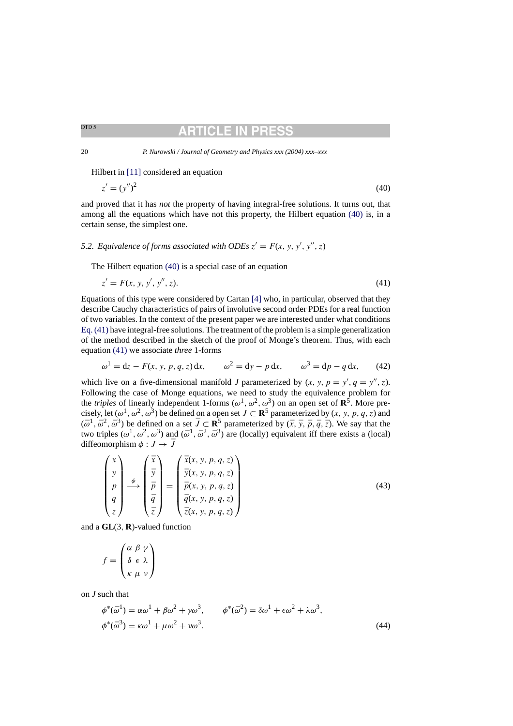<span id="page-19-0"></span>20 *P. Nurowski / Journal of Geometry and Physics xxx (2004) xxx–xxx*

Hilbert in [\[11\]](#page-30-0) considered an equation

$$
z' = (y'')^2 \tag{40}
$$

and proved that it has *not* the property of having integral-free solutions. It turns out, that among all the equations which have not this property, the Hilbert equation (40) is, in a certain sense, the simplest one.

## 5.2. Equivalence of forms associated with ODEs  $z' = F(x, y, y', y'', z)$

The Hilbert equation (40) is a special case of an equation

$$
z' = F(x, y, y', y'', z). \tag{41}
$$

Equations of this type were considered by Cartan [\[4\]](#page-30-0) who, in particular, observed that they describe Cauchy characteristics of pairs of involutive second order PDEs for a real function of two variables. In the context of the present paper we are interested under what conditions Eq. (41) have integral-free solutions. The treatment of the problem is a simple generalization of the method described in the sketch of the proof of Monge's theorem. Thus, with each equation (41) we associate *three* 1-forms

$$
\omega^1 = dz - F(x, y, p, q, z) dx,
$$
  $\omega^2 = dy - p dx,$   $\omega^3 = dp - q dx,$  (42)

which live on a five-dimensional manifold *J* parameterized by  $(x, y, p = y', q = y'', z)$ . Following the case of Monge equations, we need to study the equivalence problem for the *triples* of linearly independent 1-forms ( $\omega^1$ ,  $\omega^2$ ,  $\omega^3$ ) on an open set of **R**<sup>5</sup>. More precisely, let  $(\omega^1, \omega^2, \omega^3)$  be defined on a open set  $J \subset \mathbb{R}^5$  parameterized by  $(x, y, p, q, z)$  and  $(\bar{\omega}^1, \bar{\omega}^2, \bar{\omega}^3)$  be defined on a set  $\bar{J} \subset \mathbb{R}^5$  parameterized by  $(\bar{x}, \bar{y}, \bar{p}, \bar{q}, \bar{z})$ . We say that the two triples  $(\omega^1, \omega^2, \omega^3)$  and  $(\bar{\omega}^1, \bar{\omega}^2, \bar{\omega}^3)$  are (locally) equivalent iff there exists a (local) diffeomorphism  $\phi : J \rightarrow \overline{J}$ 

$$
\begin{pmatrix} x \\ y \\ p \\ q \\ z \end{pmatrix} \xrightarrow{\phi} \begin{pmatrix} \bar{x} \\ \bar{y} \\ \bar{p} \\ \bar{q} \\ \bar{z} \end{pmatrix} = \begin{pmatrix} \bar{x}(x, y, p, q, z) \\ \bar{y}(x, y, p, q, z) \\ \bar{p}(x, y, p, q, z) \\ \bar{q}(x, y, p, q, z) \\ \bar{z}(x, y, p, q, z) \end{pmatrix}
$$
(43)

and a **GL**(3, **R**)-valued function

$$
f = \begin{pmatrix} \alpha & \beta & \gamma \\ \delta & \epsilon & \lambda \\ \kappa & \mu & \nu \end{pmatrix}
$$

on *J* such that

$$
\phi^*(\bar{\omega}^1) = \alpha \omega^1 + \beta \omega^2 + \gamma \omega^3, \qquad \phi^*(\bar{\omega}^2) = \delta \omega^1 + \epsilon \omega^2 + \lambda \omega^3,
$$
  

$$
\phi^*(\bar{\omega}^3) = \kappa \omega^1 + \mu \omega^2 + \nu \omega^3.
$$
 (44)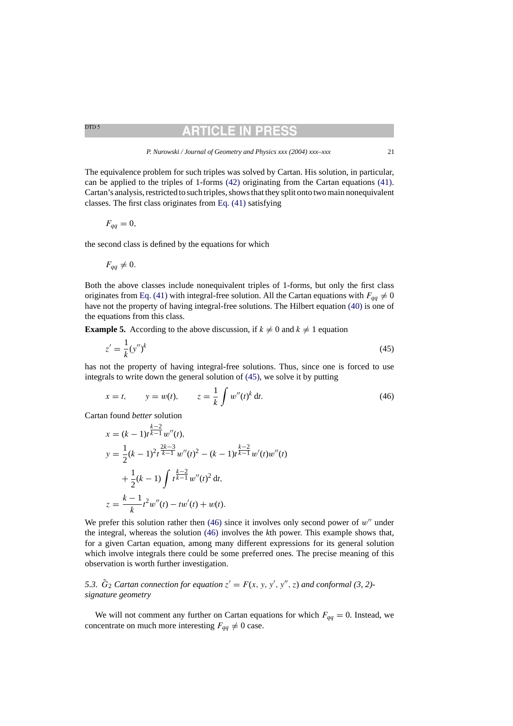## RTICLE IN PR

<span id="page-20-0"></span>
$$
F_{qq}=0,
$$

the second class is defined by the equations for which

$$
F_{qq}\neq 0.
$$

Both the above classes include nonequivalent triples of 1-forms, but only the first class originates from [Eq. \(41\)](#page-19-0) with integral-free solution. All the Cartan equations with  $F_{qq} \neq 0$ have not the property of having integral-free solutions. The Hilbert equation [\(40\)](#page-19-0) is one of the equations from this class.

**Example 5.** According to the above discussion, if  $k \neq 0$  and  $k \neq 1$  equation

$$
z' = \frac{1}{k} (y'')^k \tag{45}
$$

has not the property of having integral-free solutions. Thus, since one is forced to use integrals to write down the general solution of (45), we solve it by putting

$$
x = t
$$
,  $y = w(t)$ ,  $z = \frac{1}{k} \int w''(t)^k dt$ . (46)

Cartan found *better* solution

$$
x = (k-1)t^{\frac{k-2}{k-1}}w''(t),
$$
  
\n
$$
y = \frac{1}{2}(k-1)^2t^{\frac{2k-3}{k-1}}w''(t)^2 - (k-1)t^{\frac{k-2}{k-1}}w'(t)w''(t)
$$
  
\n
$$
+\frac{1}{2}(k-1)\int t^{\frac{k-2}{k-1}}w''(t)^2 dt,
$$
  
\n
$$
z = \frac{k-1}{k}t^2w''(t) - tw'(t) + w(t).
$$

We prefer this solution rather then  $(46)$  since it involves only second power of w'' under the integral, whereas the solution (46) involves the *k*th power. This example shows that, for a given Cartan equation, among many different expressions for its general solution which involve integrals there could be some preferred ones. The precise meaning of this observation is worth further investigation.

5.3.  $\tilde{G}_2$  *Cartan connection for equation*  $z' = F(x, y, y', y'', z)$  *and conformal* (3, 2)*signature geometry*

We will not comment any further on Cartan equations for which  $F_{qq} = 0$ . Instead, we concentrate on much more interesting  $F_{qq} \neq 0$  case.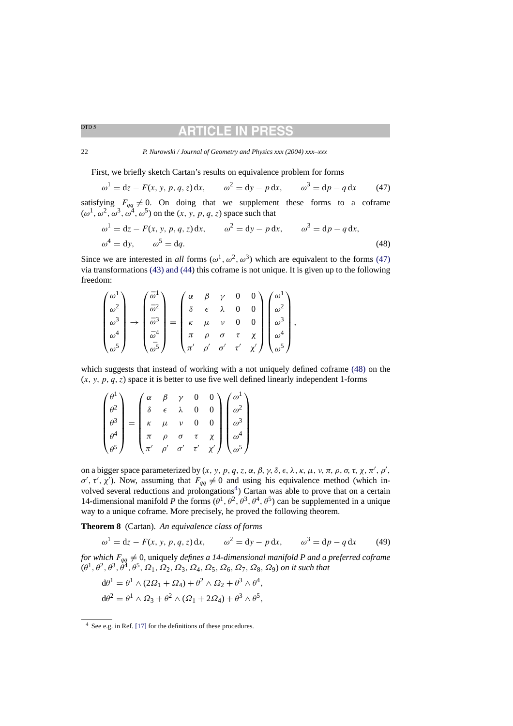22 *P. Nurowski / Journal of Geometry and Physics xxx (2004) xxx–xxx*

First, we briefly sketch Cartan's results on equivalence problem for forms

$$
\omega^1 = dz - F(x, y, p, q, z) dx,
$$
  $\omega^2 = dy - p dx,$   $\omega^3 = dp - q dx$  (47)

satisfying  $F_{qq} \neq 0$ . On doing that we supplement these forms to a coframe  $(\omega^1, \omega^2, \omega^3, \omega^4, \omega^5)$  on the  $(x, y, p, q, z)$  space such that

$$
\omega^1 = dz - F(x, y, p, q, z) dx, \qquad \omega^2 = dy - p dx, \qquad \omega^3 = dp - q dx,
$$
  

$$
\omega^4 = dy, \qquad \omega^5 = dq.
$$
 (48)

Since we are interested in *all* forms  $(\omega^1, \omega^2, \omega^3)$  which are equivalent to the forms (47) via transformations [\(43\) and \(44\)](#page-19-0) this coframe is not unique. It is given up to the following freedom:

$$
\begin{pmatrix}\n\omega^1 \\
\omega^2 \\
\omega^3 \\
\omega^4 \\
\omega^5\n\end{pmatrix}\n\rightarrow\n\begin{pmatrix}\n\bar{\omega}^1 \\
\bar{\omega}^2 \\
\bar{\omega}^3 \\
\bar{\omega}^4 \\
\bar{\omega}^5\n\end{pmatrix}\n=\n\begin{pmatrix}\n\alpha & \beta & \gamma & 0 & 0 \\
\delta & \epsilon & \lambda & 0 & 0 \\
\kappa & \mu & \nu & 0 & 0 \\
\pi & \rho & \sigma & \tau & \chi \\
\pi' & \rho' & \sigma' & \tau' & \chi'\n\end{pmatrix}\n\begin{pmatrix}\n\omega^1 \\
\omega^2 \\
\omega^3 \\
\omega^4 \\
\omega^5\n\end{pmatrix},
$$

which suggests that instead of working with a not uniquely defined coframe (48) on the  $(x, y, p, q, z)$  space it is better to use five well defined linearly independent 1-forms

$$
\begin{pmatrix}\n\theta^1 \\
\theta^2 \\
\theta^3 \\
\theta^4 \\
\theta^5\n\end{pmatrix} = \begin{pmatrix}\n\alpha & \beta & \gamma & 0 & 0 \\
\delta & \epsilon & \lambda & 0 & 0 \\
\kappa & \mu & \nu & 0 & 0 \\
\pi & \rho & \sigma & \tau & \chi \\
\pi' & \rho' & \sigma' & \tau' & \chi'\n\end{pmatrix} \begin{pmatrix}\n\omega^1 \\
\omega^2 \\
\omega^3 \\
\omega^4 \\
\omega^5\n\end{pmatrix}
$$

on a bigger space parameterized by  $(x, y, p, q, z, \alpha, \beta, \gamma, \delta, \epsilon, \lambda, \kappa, \mu, \nu, \pi, \rho, \sigma, \tau, \chi, \pi', \rho',$  $\sigma'$ , τ', χ'). Now, assuming that  $F_{qq} \neq 0$  and using his equivalence method (which involved several reductions and prolongations<sup>4</sup>) Cartan was able to prove that on a certain 14-dimensional manifold *P* the forms  $(\theta^1, \theta^2, \theta^3, \theta^4, \theta^5)$  can be supplemented in a unique way to a unique coframe. More precisely, he proved the following theorem.

**Theorem 8** (Cartan). *An equivalence class of forms*

$$
\omega^1 = dz - F(x, y, p, q, z) dx, \qquad \omega^2 = dy - p dx, \qquad \omega^3 = dp - q dx
$$
 (49)

*for which*  $F_{qq} \neq 0$ , uniquely *defines a 14-dimensional manifold P and a preferred coframe*  $(\theta^1, \theta^2, \theta^3, \hat{\theta}^4, \theta^5, \Omega_1, \Omega_2, \Omega_3, \Omega_4, \Omega_5, \Omega_6, \Omega_7, \Omega_8, \Omega_9)$  on it such that

$$
d\theta^1 = \theta^1 \wedge (2\Omega_1 + \Omega_4) + \theta^2 \wedge \Omega_2 + \theta^3 \wedge \theta^4,
$$
  
\n
$$
d\theta^2 = \theta^1 \wedge \Omega_3 + \theta^2 \wedge (\Omega_1 + 2\Omega_4) + \theta^3 \wedge \theta^5,
$$

<span id="page-21-0"></span>
$$
22 \, \rm
$$

<sup>4</sup> See e.g. in Ref. [\[17\]](#page-30-0) for the definitions of these procedures.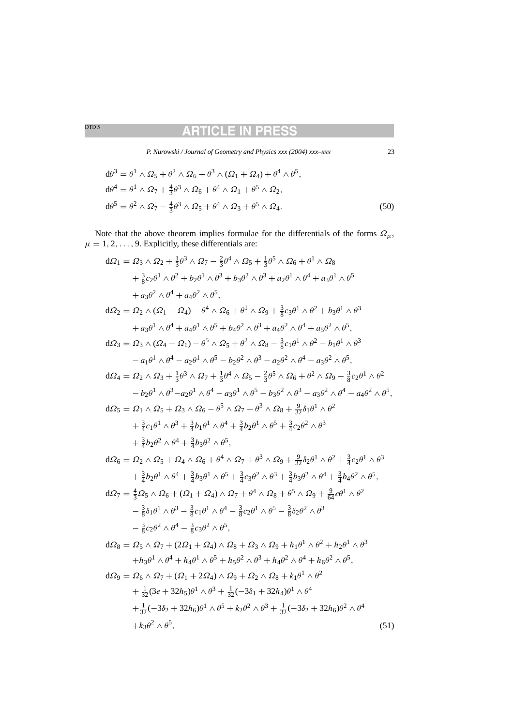# **ARTICLE IN PRESS**

*P. Nurowski / Journal of Geometry and Physics xxx (2004) xxx–xxx* 23

<span id="page-22-0"></span>
$$
d\theta^3 = \theta^1 \wedge \Omega_5 + \theta^2 \wedge \Omega_6 + \theta^3 \wedge (\Omega_1 + \Omega_4) + \theta^4 \wedge \theta^5,
$$
  
\n
$$
d\theta^4 = \theta^1 \wedge \Omega_7 + \frac{4}{3}\theta^3 \wedge \Omega_6 + \theta^4 \wedge \Omega_1 + \theta^5 \wedge \Omega_2,
$$
  
\n
$$
d\theta^5 = \theta^2 \wedge \Omega_7 - \frac{4}{3}\theta^3 \wedge \Omega_5 + \theta^4 \wedge \Omega_3 + \theta^5 \wedge \Omega_4.
$$
\n(50)

Note that the above theorem implies formulae for the differentials of the forms  $\Omega_{\mu}$ ,  $\mu = 1, 2, \ldots, 9$ . Explicitly, these differentials are:

$$
d\Omega_1 = \Omega_3 \wedge \Omega_2 + \frac{1}{3}\theta^3 \wedge \Omega_7 - \frac{2}{3}\theta^4 \wedge \Omega_5 + \frac{1}{3}\theta^5 \wedge \Omega_6 + \theta^1 \wedge \Omega_8
$$
  
\n
$$
+ \frac{3}{8}c_2\theta^1 \wedge \theta^2 + b_2\theta^1 \wedge \theta^3 + b_3\theta^2 \wedge \theta^3 + a_2\theta^1 \wedge \theta^4 + a_3\theta^1 \wedge \theta^5
$$
  
\n
$$
+ a_3\theta^2 \wedge \theta^4 + a_4\theta^2 \wedge \theta^5,
$$
  
\n
$$
d\Omega_2 = \Omega_2 \wedge (\Omega_1 - \Omega_4) - \theta^4 \wedge \Omega_6 + \theta^1 \wedge \Omega_9 + \frac{3}{8}c_3\theta^1 \wedge \theta^2 + b_3\theta^1 \wedge \theta^3
$$
  
\n
$$
+ a_3\theta^1 \wedge \theta^4 + a_4\theta^1 \wedge \theta^5 + b_4\theta^2 \wedge \theta^3 + a_4\theta^2 \wedge \theta^4 + a_5\theta^2 \wedge \theta^5,
$$
  
\n
$$
d\Omega_3 = \Omega_3 \wedge (\Omega_4 - \Omega_1) - \theta^5 \wedge \Omega_5 + \theta^2 \wedge \Omega_8 - \frac{3}{8}c_1\theta^1 \wedge \theta^2 - b_1\theta^1 \wedge \theta^3
$$
  
\n
$$
- a_1\theta^1 \wedge \theta^4 - a_2\theta^1 \wedge \theta^5 - b_2\theta^2 \wedge \theta^3 - a_2\theta^2 \wedge \theta^4 - a_3\theta^2 \wedge \theta^5,
$$
  
\n
$$
d\Omega_4 = \Omega_2 \wedge \Omega_3 + \frac{1}{3}\theta^3 \wedge \Omega_7 + \frac{1}{3}\theta^4 \wedge \Omega_5 - \frac{2}{3}\theta^5 \wedge \Omega_6 + \theta^2 \wedge \Omega_9 - \frac{3}{8}c_2\theta^1 \wedge \theta^2
$$
  
\n
$$
- b_2\theta^1 \wedge \theta^3 - a_2\theta^1 \wedge \theta^4 - a_3\theta^1 \wedge \theta^5
$$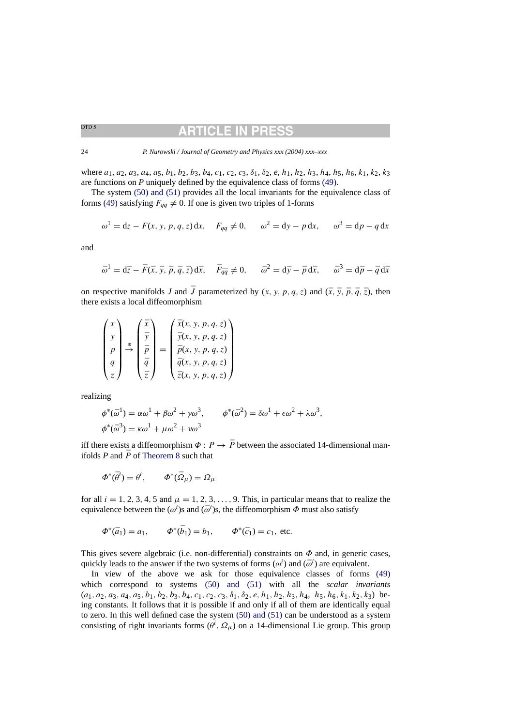## RTICLE IN

24 *P. Nurowski / Journal of Geometry and Physics xxx (2004) xxx–xxx*

where  $a_1, a_2, a_3, a_4, a_5, b_1, b_2, b_3, b_4, c_1, c_2, c_3, \delta_1, \delta_2, e, h_1, h_2, h_3, h_4, h_5, h_6, k_1, k_2, k_3$ are functions on *P* uniquely defined by the equivalence class of forms [\(49\).](#page-21-0)

The system [\(50\) and \(51\)](#page-21-0) provides all the local invariants for the equivalence class of forms [\(49\)](#page-21-0) satisfying  $F_{qa} \neq 0$ . If one is given two triples of 1-forms

$$
\omega^1 = dz - F(x, y, p, q, z) dx
$$
,  $F_{qq} \neq 0$ ,  $\omega^2 = dy - p dx$ ,  $\omega^3 = dp - q dx$ 

and

$$
\bar{\omega}^1 = d\bar{z} - \bar{F}(\bar{x}, \bar{y}, \bar{p}, \bar{q}, \bar{z}) d\bar{x}, \quad \bar{F}_{\bar{q}\bar{q}} \neq 0, \quad \bar{\omega}^2 = d\bar{y} - \bar{p} d\bar{x}, \quad \bar{\omega}^3 = d\bar{p} - \bar{q} d\bar{x}
$$

on respective manifolds *J* and *J* parameterized by  $(x, y, p, q, z)$  and  $(\bar{x}, \bar{y}, \bar{p}, \bar{q}, \bar{z})$ , then there exists a local diffeomorphism

| $x \setminus$   |  | $\bar{x}$   |  | $\bar{x}(x, y, p, q, z)$      |
|-----------------|--|-------------|--|-------------------------------|
|                 |  |             |  | $\bar{y}(x, y, p, q, z)$      |
|                 |  |             |  | $\bar{p}(x, y, p, q, z)$      |
| $q_{\parallel}$ |  |             |  | $\overline{q}(x, y, p, q, z)$ |
| Z/I             |  | $\bar{z}$ / |  | $\bar{z}(x, y, p, q, z)$ /    |

realizing

$$
\phi^*(\bar{\omega}^1) = \alpha \omega^1 + \beta \omega^2 + \gamma \omega^3, \qquad \phi^*(\bar{\omega}^2) = \delta \omega^1 + \epsilon \omega^2 + \lambda \omega^3,
$$
  

$$
\phi^*(\bar{\omega}^3) = \kappa \omega^1 + \mu \omega^2 + \nu \omega^3
$$

iff there exists a diffeomorphism  $\Phi : P \to \overline{P}$  between the associated 14-dimensional manifolds  $P$  and  $\overline{P}$  of [Theorem 8](#page-21-0) such that

$$
\Phi^*(\bar{\theta}^i) = \theta^i, \qquad \Phi^*(\bar{\Omega}_\mu) = \Omega_\mu
$$

for all  $i = 1, 2, 3, 4, 5$  and  $\mu = 1, 2, 3, \ldots, 9$ . This, in particular means that to realize the equivalence between the  $(\omega^i)$ s and  $(\bar{\omega}^i)$ s, the diffeomorphism  $\Phi$  must also satisfy

$$
\Phi^*(\bar{a}_1) = a_1, \qquad \Phi^*(\bar{b}_1) = b_1, \qquad \Phi^*(\bar{c}_1) = c_1
$$
, etc.

This gives severe algebraic (i.e. non-differential) constraints on  $\Phi$  and, in generic cases, quickly leads to the answer if the two systems of forms  $(\omega^i)$  and  $(\bar{\omega}^i)$  are equivalent.

In view of the above we ask for those equivalence classes of forms [\(49\)](#page-21-0) which correspond to systems [\(50\) and \(51](#page-21-0)) with all the *scalar invariants*  $(a_1, a_2, a_3, a_4, a_5, b_1, b_2, b_3, b_4, c_1, c_2, c_3, \delta_1, \delta_2, e, h_1, h_2, h_3, h_4, h_5, h_6, k_1, k_2, k_3)$  being constants. It follows that it is possible if and only if all of them are identically equal to zero. In this well defined case the system [\(50\) and \(51\)](#page-21-0) can be understood as a system consisting of right invariants forms  $(\theta^i, \Omega_\mu)$  on a 14-dimensional Lie group. This group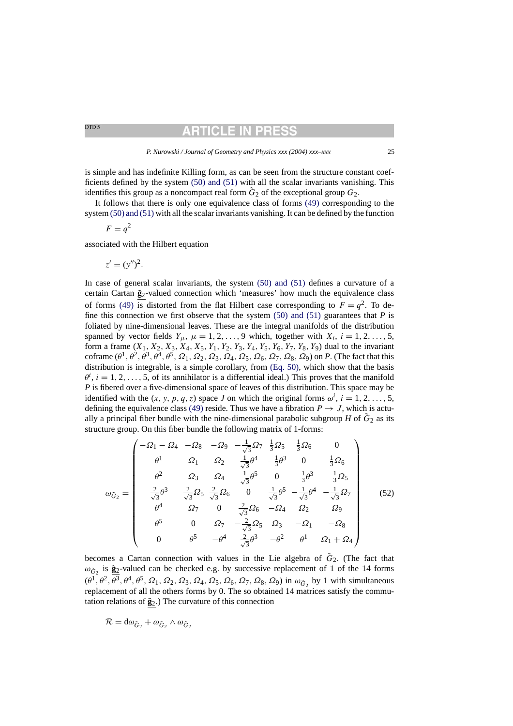<span id="page-24-0"></span>DTD<sub>5</sub>

## RTICLE IN PR

is simple and has indefinite Killing form, as can be seen from the structure constant coefficients defined by the system [\(50\) and \(51\)](#page-21-0) with all the scalar invariants vanishing. This identifies this group as a noncompact real form  $\tilde{G}_2$  of the exceptional group  $G_2$ .

It follows that there is only one equivalence class of forms [\(49\)](#page-21-0) corresponding to the system [\(50\) and \(51\)](#page-21-0) with all the scalar invariants vanishing. It can be defined by the function

$$
F = q^2
$$

associated with the Hilbert equation

$$
z'=(y'')^2.
$$

In case of general scalar invariants, the system [\(50\) and \(51\)](#page-21-0) defines a curvature of a certain Cartan  $\tilde{\mathbf{g}}_2$ -valued connection which 'measures' how much the equivalence class of forms [\(49\)](#page-21-0) is distorted from the flat Hilbert case corresponding to  $F = q^2$ . To define this connection we first observe that the system  $(50)$  and  $(51)$  guarantees that *P* is foliated by nine-dimensional leaves. These are the integral manifolds of the distribution spanned by vector fields  $Y_{\mu}$ ,  $\mu = 1, 2, \ldots, 9$  which, together with  $X_i$ ,  $i = 1, 2, \ldots, 5$ , form a frame  $(X_1, X_2, X_3, X_4, X_5, Y_1, Y_2, Y_3, Y_4, Y_5, Y_6, Y_7, Y_8, Y_9)$  dual to the invariant coframe  $(\theta^1, \theta^2, \theta^3, \theta^4, \theta^5, \Omega_1, \Omega_2, \Omega_3, \Omega_4, \Omega_5, \Omega_6, \Omega_7, \Omega_8, \Omega_9)$  on *P*. (The fact that this distribution is integrable, is a simple corollary, from [\(Eq. 50\),](#page-21-0) which show that the basis  $\theta^i$ ,  $i = 1, 2, ..., 5$ , of its annihilator is a differential ideal.) This proves that the manifold *P* is fibered over a five-dimensional space of leaves of this distribution. This space may be identified with the  $(x, y, p, q, z)$  space *J* on which the original forms  $\omega^i$ ,  $i = 1, 2, ..., 5$ , defining the equivalence class [\(49\)](#page-21-0) reside. Thus we have a fibration  $P \rightarrow J$ , which is actually a principal fiber bundle with the nine-dimensional parabolic subgroup *H* of  $\tilde{G}_2$  as its structure group. On this fiber bundle the following matrix of 1-forms:

$$
\omega_{\tilde{G}_2} = \begin{pmatrix}\n-\Omega_1 - \Omega_4 & -\Omega_8 & -\Omega_9 & -\frac{1}{\sqrt{3}}\Omega_7 & \frac{1}{3}\Omega_5 & \frac{1}{3}\Omega_6 & 0 \\
\theta^1 & \Omega_1 & \Omega_2 & \frac{1}{\sqrt{3}}\theta^4 & -\frac{1}{3}\theta^3 & 0 & \frac{1}{3}\Omega_6 \\
\theta^2 & \Omega_3 & \Omega_4 & \frac{1}{\sqrt{3}}\theta^5 & 0 & -\frac{1}{3}\theta^3 & -\frac{1}{3}\Omega_5 \\
\frac{2}{\sqrt{3}}\theta^3 & \frac{2}{\sqrt{3}}\Omega_5 & \frac{2}{\sqrt{3}}\Omega_6 & 0 & \frac{1}{\sqrt{3}}\theta^5 & -\frac{1}{\sqrt{3}}\theta^4 & -\frac{1}{\sqrt{3}}\Omega_7 \\
\theta^4 & \Omega_7 & 0 & \frac{2}{\sqrt{3}}\Omega_6 & -\Omega_4 & \Omega_2 & \Omega_9 \\
\theta^5 & 0 & \Omega_7 & -\frac{2}{\sqrt{3}}\Omega_5 & \Omega_3 & -\Omega_1 & -\Omega_8 \\
0 & \theta^5 & -\theta^4 & \frac{2}{\sqrt{3}}\theta^3 & -\theta^2 & \theta^1 & \Omega_1 + \Omega_4\n\end{pmatrix}
$$
(52)

becomes a Cartan connection with values in the Lie algebra of  $\tilde{G}_2$ . (The fact that  $\omega_{\tilde{G}}$  is  $\tilde{g}_2$ -valued can be checked e.g. by successive replacement of 1 of the 14 forms  $(\theta^1, \theta^2, \theta^3, \theta^4, \theta^5, \Omega_1, \Omega_2, \Omega_3, \Omega_4, \Omega_5, \Omega_6, \Omega_7, \Omega_8, \Omega_9)$  in  $\omega_{\tilde{G}_2}$  by 1 with simultaneous replacement of all the others forms by 0. The so obtained 14 matrices satisfy the commutation relations of  $\tilde{g}_2$ .) The curvature of this connection

$$
\mathcal{R} = d\omega_{\tilde{G}_2} + \omega_{\tilde{G}_2} \wedge \omega_{\tilde{G}_2}
$$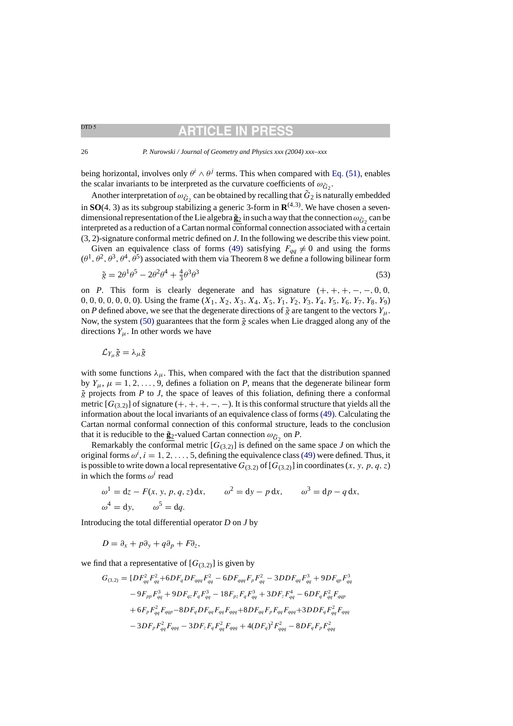# **ARTICLE IN PR**

<span id="page-25-0"></span>26 *P. Nurowski / Journal of Geometry and Physics xxx (2004) xxx–xxx*

being horizontal, involves only  $\theta^i \wedge \theta^j$  terms. This when compared with [Eq. \(51\), e](#page-22-0)nables the scalar invariants to be interpreted as the curvature coefficients of  $\omega_{\tilde{G}_2}$ .

Another interpretation of  $\omega_{\tilde{G}_2}$  can be obtained by recalling that  $\tilde{G}_2$  is naturally embedded in **SO**(4, 3) as its subgroup stabilizing a generic 3-form in  $\mathbb{R}^{(4,3)}$ . We have chosen a sevendimensional representation of the Lie algebra  $\tilde{g}_2$  in such a way that the connection  $\omega_{\tilde{G}_2}$  can be interpreted as a reduction of a Cartan normal conformal connection associated with a certain (3, 2)-signature conformal metric defined on *J*. In the following we describe this view point.

Given an equivalence class of forms [\(49\)](#page-21-0) satisfying  $F_{qq} \neq 0$  and using the forms  $(\theta^1, \theta^2, \theta^3, \theta^4, \bar{\theta}^5)$  associated with them via Theorem 8 we define a following bilinear form

$$
\tilde{g} = 2\theta^1 \theta^5 - 2\theta^2 \theta^4 + \frac{4}{3}\theta^3 \theta^3 \tag{53}
$$

on *P*. This form is clearly degenerate and has signature  $(+, +, +, -, -, 0, 0, ...)$ 0, 0, 0, 0, 0, 0, 0). Using the frame  $(X_1, X_2, X_3, X_4, X_5, Y_1, Y_2, Y_3, Y_4, Y_5, Y_6, Y_7, Y_8, Y_9)$ on *P* defined above, we see that the degenerate directions of  $\tilde{g}$  are tangent to the vectors  $Y_{\mu}$ . Now, the system [\(50\)](#page-21-0) guarantees that the form  $\tilde{g}$  scales when Lie dragged along any of the directions  $Y_{\mu}$ . In other words we have

$$
\mathcal{L}_{Y_{\mu}}\tilde{g}=\lambda_{\mu}\tilde{g}
$$

with some functions  $\lambda_{\mu}$ . This, when compared with the fact that the distribution spanned by  $Y_{\mu}$ ,  $\mu = 1, 2, \ldots, 9$ , defines a foliation on *P*, means that the degenerate bilinear form  $\tilde{g}$  projects from  $P$  to  $J$ , the space of leaves of this foliation, defining there a conformal metric  $[G_{(3,2)}]$  of signature  $(+, +, +, -, -)$ . It is this conformal structure that yields all the information about the local invariants of an equivalence class of forms [\(49\). C](#page-21-0)alculating the Cartan normal conformal connection of this conformal structure, leads to the conclusion that it is reducible to the  $\tilde{g}_2$ -valued Cartan connection  $\omega_{\tilde{G}_2}$  on *P*.

Remarkably the conformal metric  $[G_{(3,2)}]$  is defined on the same space *J* on which the original forms  $\omega^i$ ,  $i = 1, 2, ..., 5$ , defining the equivalence class [\(49\)](#page-21-0) were defined. Thus, it is possible to write down a local representative  $G_{(3,2)}$  of  $[G_{(3,2)}]$  in coordinates  $(x, y, p, q, z)$ in which the forms  $\omega^i$  read

$$
\omega^1 = dz - F(x, y, p, q, z) dx, \qquad \omega^2 = dy - p dx, \qquad \omega^3 = dp - q dx,
$$
  

$$
\omega^4 = dy, \qquad \omega^5 = dq.
$$

Introducing the total differential operator *D* on *J* by

$$
D = \partial_x + p\partial_y + q\partial_p + F\partial_z,
$$

we find that a representative of  $[G_{(3,2)}]$  is given by

$$
G_{(3,2)} = [DF_{qq}^2 F_{qq}^2 + 6DF_q DF_{qqq} F_{qq}^2 - 6DF_{qqq} F_p F_{qq}^2 - 3DDF_{qq} F_{qq}^3 + 9DF_{qp} F_{qq}^3
$$
  
\n
$$
- 9F_{pp} F_{qq}^3 + 9DF_{qz} F_q F_{qq}^3 - 18F_{pz} F_q F_{qq}^3 + 3DF_z F_q^4 - 6DF_q F_{qq}^2 F_{qqp}
$$
  
\n
$$
+ 6F_p F_{qq}^2 F_{qqp} - 8DF_q DF_{qq} F_{qq} F_{qqq} + 8DF_{qq} F_p F_{qq} F_{qqq} + 3DDF_q F_{qq}^2 F_{qqq}
$$
  
\n
$$
- 3DF_p F_{qq}^2 F_{qqq} - 3DF_z F_q F_{qq}^2 F_{qqq} + 4(DF_q)^2 F_{qq}^2 - 8DF_q F_p F_{qqq}^2
$$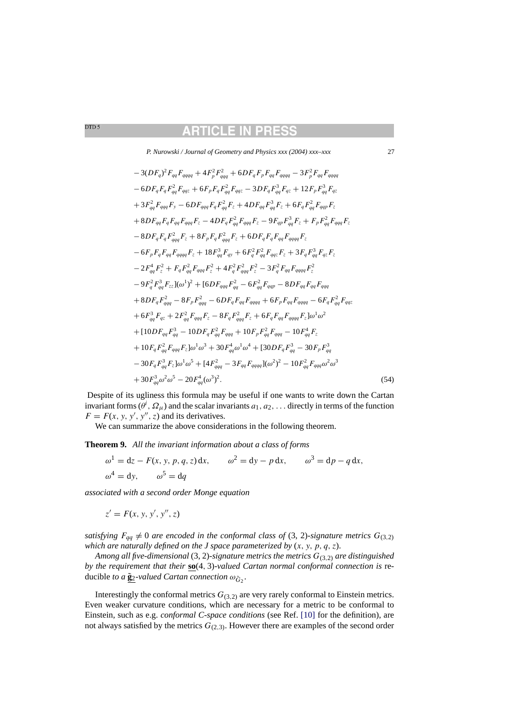*P. Nurowski / Journal of Geometry and Physics xxx (2004) xxx–xxx* 27

<span id="page-26-0"></span>
$$
-3(DF_q)^2 F_{qq} F_{qqqq} + 4F_p^2 F_{qqq}^2 + 6DF_q F_p F_{qq} F_{qqqq} - 3F_p^2 F_{qq} F_{qqqq}
$$
  
\n
$$
-6DF_q F_q F_{qq}^2 F_{qqz} + 6F_p F_q F_{qq}^2 F_{qqz} - 3D F_q F_{qq}^3 F_{qz} + 12F_p F_{qq}^3 F_{qz}
$$
  
\n
$$
+3F_{qq}^2 F_{qqq} F_y - 6DF_{qqq} F_q F_{qq}^2 F_z + 4DF_{qq} F_{qq}^3 F_z + 6F_q F_{qq}^2 F_{qq} F_z
$$
  
\n
$$
+8DF_{qq} F_q F_{qq} F_{qqq} F_z - 4DF_q F_{qq}^2 F_{qqq} F_z - 9F_{qp} F_{qq}^3 F_z + F_p F_{qq}^2 F_{qqq} F_z
$$
  
\n
$$
-8DF_q F_q F_{qqq}^2 F_z + 8F_p F_q F_{qqq}^2 F_z + 6DF_q F_q F_{qq} F_{qqq} F_z
$$
  
\n
$$
-6F_p F_q F_{qq}^2 F_{qqq} F_z + 18F_{qq}^3 F_{qy} + 6F_q^2 F_{qq}^2 F_{qq} F_z + 3F_q F_{qq}^3 F_{qz} F_z
$$
  
\n
$$
-2F_{qq}^4 F_z^2 + F_q F_{qq}^2 F_{qqq} F_z^2 + 4F_q^2 F_{qqq}^2 F_z^2 - 3F_q^2 F_{qq} F_{qqq} F_{qq} F_z
$$
  
\n
$$
-9F_q^2 F_{qq}^3 F_{zz} [(\omega^1)^2 + [6DF_{qqq} F_{qq}^2 - 6F_{qq}^2 F_{qqq} - 8DF_{qq} F_{qq} F_{qqq}
$$
  
\n
$$
+8DF_q F_{qqq}^2 - 8F_p F_{qqq}^2 - 6F_q F_{qq} F_{qqq} - 8DF_q F_{qq} F_{qqq} - 6F_q F_{qq}^2
$$
  
\n
$$
+ 6F_{qq}^3 F_{qq} + 2F_{qq}^2 F_{qqq} F_z - 8F_q F_{qqq}^2 F_z + 6F_q F_{qq} F_{qqqq} - 6F_q F_{qq}^2 F_{qq
$$

Despite of its ugliness this formula may be useful if one wants to write down the Cartan invariant forms  $(\theta^i, \Omega_\mu)$  and the scalar invariants  $a_1, a_2, \ldots$  directly in terms of the function  $F = F(x, y, y', y'', z)$  and its derivatives.

We can summarize the above considerations in the following theorem.

**Theorem 9.** *All the invariant information about a class of forms*

$$
\omega^1 = dz - F(x, y, p, q, z) dx, \qquad \omega^2 = dy - p dx, \qquad \omega^3 = dp - q dx,
$$
  

$$
\omega^4 = dy, \qquad \omega^5 = dq
$$

*associated with a second order Monge equation*

 $z' = F(x, y, y', y'', z)$ 

*satisfying*  $F_{qq} \neq 0$  *are encoded in the conformal class of* (3, 2)-*signature metrics*  $G_{(3,2)}$ *which are naturally defined on the J space parameterized by* (x, y, p, q, z).

*Among all five-dimensional* (3, 2)-*signature metrics the metrics* G(3,2) *are distinguished by the requirement that their* **so**(4, 3)-*valued Cartan normal conformal connection is* reducible to a  $\underline{\tilde{\mathbf{g}}_2}$ -valued Cartan connection  $\omega_{\tilde{G}_2}$ .

Interestingly the conformal metrics  $G_{(3,2)}$  are very rarely conformal to Einstein metrics. Even weaker curvature conditions, which are necessary for a metric to be conformal to Einstein, such as e.g. *conformal C-space conditions* (see Ref. [\[10\]](#page-30-0) for the definition), are not always satisfied by the metrics  $G_{(2,3)}$ . However there are examples of the second order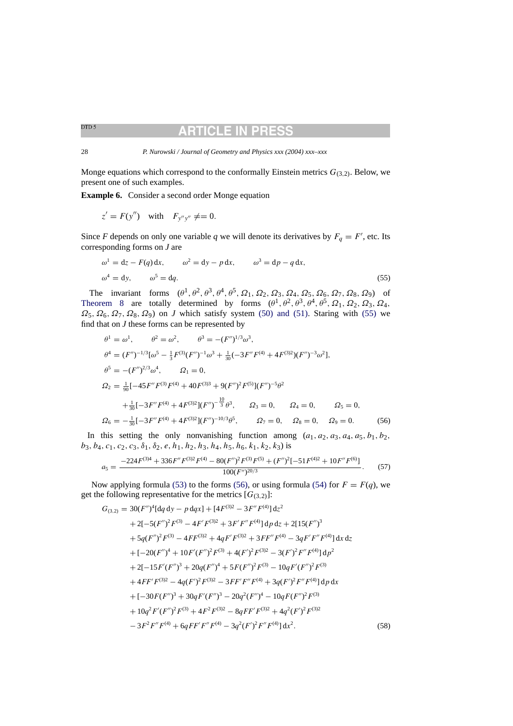## CLE IN

<span id="page-27-0"></span>28 *P. Nurowski / Journal of Geometry and Physics xxx (2004) xxx–xxx*

Monge equations which correspond to the conformally Einstein metrics  $G_{(3,2)}$ . Below, we present one of such examples.

**Example 6.** Consider a second order Monge equation

$$
z' = F(y'') \quad \text{with} \quad F_{y''y''} \neq = 0.
$$

Since *F* depends on only one variable *q* we will denote its derivatives by  $F_q = F'$ , etc. Its corresponding forms on *J* are

$$
\omega^1 = dz - F(q) dx, \qquad \omega^2 = dy - p dx, \qquad \omega^3 = dp - q dx,
$$
  

$$
\omega^4 = dy, \qquad \omega^5 = dq.
$$
 (55)

The invariant forms  $(\theta^1, \theta^2, \theta^3, \theta^4, \theta^5, \Omega_1, \Omega_2, \Omega_3, \Omega_4, \Omega_5, \Omega_6, \Omega_7, \Omega_8, \Omega_9)$  of [Theorem 8](#page-21-0) are totally determined by forms  $(\theta^1, \theta^2, \theta^3, \theta^4, \theta^5, \Omega_1, \Omega_2, \Omega_3, \Omega_4,$  $\Omega_5$ ,  $\Omega_6$ ,  $\Omega_7$ ,  $\Omega_8$ ,  $\Omega_9$ ) on *J* which satisfy system [\(50\) and \(51\).](#page-21-0) Staring with (55) we find that on *J* these forms can be represented by

$$
\theta^{1} = \omega^{1}, \qquad \theta^{2} = \omega^{2}, \qquad \theta^{3} = -(F'')^{1/3}\omega^{3},
$$
  
\n
$$
\theta^{4} = (F'')^{-1/3}[\omega^{5} - \frac{1}{3}F^{(3)}(F'')^{-1}\omega^{3} + \frac{1}{30}(-3F''F^{(4)} + 4F^{(3)2})(F'')^{-3}\omega^{2}],
$$
  
\n
$$
\theta^{5} = -(F'')^{2/3}\omega^{4}, \qquad \Omega_{1} = 0,
$$
  
\n
$$
\Omega_{2} = \frac{1}{90}[-45F''F^{(3)}F^{(4)} + 40F^{(3)3} + 9(F'')^{2}F^{(5)}](F'')^{-5}\theta^{2}
$$
  
\n
$$
+ \frac{1}{30}[-3F''F^{(4)} + 4F^{(3)2}](F'')^{-\frac{10}{3}}\theta^{3}, \qquad \Omega_{3} = 0, \qquad \Omega_{4} = 0, \qquad \Omega_{5} = 0,
$$
  
\n
$$
\Omega_{6} = -\frac{1}{30}[-3F''F^{(4)} + 4F^{(3)2}](F'')^{-10/3}\theta^{5}, \qquad \Omega_{7} = 0, \qquad \Omega_{8} = 0, \qquad \Omega_{9} = 0.
$$
 (56)

In this setting the only nonvanishing function among  $(a_1, a_2, a_3, a_4, a_5, b_1, b_2,$  $b_3, b_4, c_1, c_2, c_3, \delta_1, \delta_2, e, h_1, h_2, h_3, h_4, h_5, h_6, k_1, k_2, k_3$  is

$$
a_5 = \frac{-224F^{(3)4} + 336F''F^{(3)2}F^{(4)} - 80(F'')^2F^{(3)}F^{(5)} + (F'')^2[-51F^{(4)2} + 10F''F^{(6)}]}{100(F'')^{20/3}}.
$$
(57)

Now applying formula [\(53\)](#page-25-0) to the forms (56), or using formula [\(54\)](#page-25-0) for  $F = F(q)$ , we get the following representative for the metrics  $[G_{(3,2)}]$ :

$$
G_{(3,2)} = 30(F'')^{4}[dq dy - p dqx] + [4F^{(3)2} - 3F''F^{(4)}] dz^{2}
$$
  
+ 2[-5(F'')<sup>2</sup>F<sup>(3)</sup> - 4F'F<sup>(3)2</sup> + 3F'F''F<sup>(4)</sup>] d p d z + 2[15(F'')<sup>3</sup>  
+ 5q(F'')<sup>2</sup>F<sup>(3)</sup> - 4FF<sup>(3)2</sup> + 4qF'F<sup>(3)2</sup> + 3FF''F<sup>(4)</sup> - 3qF'F''F<sup>(4)</sup>] d x d z  
+ [-20(F'')<sup>4</sup> + 10F'(F'')<sup>2</sup>F<sup>(3)</sup> + 4(F')<sup>2</sup>F<sup>(3)2</sup> - 3(F')<sup>2</sup>F''F<sup>(4)</sup>] d p<sup>2</sup>  
+ 2[-15F'(F'')<sup>3</sup> + 20q(F'')<sup>4</sup> + 5F(F'')<sup>2</sup>F<sup>(3)</sup> - 10qF'(F'')<sup>2</sup>F<sup>(3)</sup>  
+ 4FF'F<sup>(3)2</sup> - 4q(F')<sup>2</sup>F<sup>(3)2</sup> - 3FF'F''F<sup>(4)</sup> + 3q(F')<sup>2</sup>F''F<sup>(4)</sup>] d p d x  
+ [-30F(F'')<sup>3</sup> + 30qF'(F'')<sup>3</sup> - 20q<sup>2</sup>(F'')<sup>4</sup> - 10qF(F'')<sup>2</sup>F<sup>(3)</sup>  
+ 10q<sup>2</sup>F'(F'')<sup>2</sup>F<sup>(3)</sup> + 4F<sup>2</sup>F<sup>(3)2</sup> - 8qFF'F<sup>(3)2</sup> + 4q<sup>2</sup>(F')<sup>2</sup>F<sup>(3)2</sup>  
- 3F<sup>2</sup>F''F<sup>(4)</sup> + 6qFF'F''F<sup>(4)</sup> - 3q<sup>2</sup>(F')<sup>2</sup>F''F<sup>(4)</sup>] d x<sup>2</sup>. (58)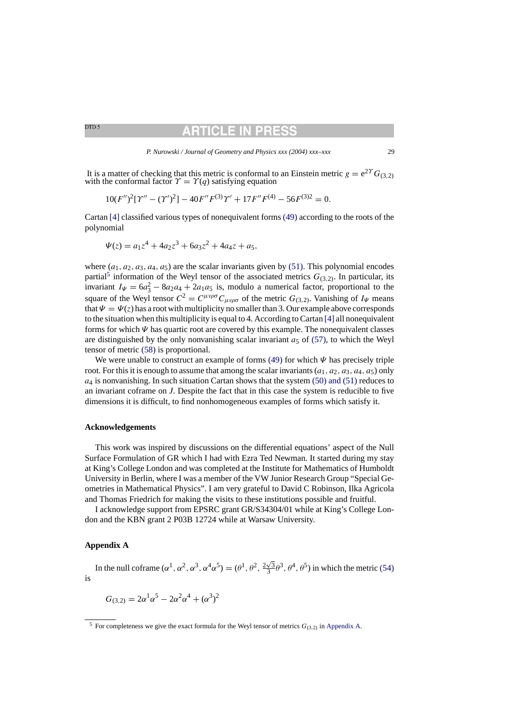## RTICLE IN PR

It is a matter of checking that this metric is conformal to an Einstein metric  $g = e^{2\gamma} G_{(3,2)}$  with the conformal factor  $\gamma = \gamma(q)$  satisfying equation

$$
10(F'')^{2}[\Upsilon'' - (\Upsilon')^{2}] - 40F''F^{(3)}\Upsilon' + 17F''F^{(4)} - 56F^{(3)2} = 0.
$$

Cartan [\[4\]](#page-30-0) classified various types of nonequivalent forms [\(49\)](#page-21-0) according to the roots of the polynomial

$$
\Psi(z) = a_1 z^4 + 4a_2 z^3 + 6a_3 z^2 + 4a_4 z + a_5,
$$

where  $(a_1, a_2, a_3, a_4, a_5)$  are the scalar invariants given by [\(51\).](#page-22-0) This polynomial encodes partial<sup>5</sup> information of the Weyl tensor of the associated metrics  $G_{(3,2)}$ . In particular, its invariant  $I_{\Psi} = 6a_3^2 - 8a_2a_4 + 2a_1a_5$  is, modulo a numerical factor, proportional to the square of the Weyl tensor  $C^2 = C^{\mu\nu\rho\sigma}C_{\mu\nu\rho\sigma}$  of the metric  $G_{(3,2)}$ . Vanishing of  $I_{\Psi}$  means that  $\Psi = \Psi(z)$  has a root with multiplicity no smaller than 3. Our example above corresponds to the situation when this multiplicity is equal to 4. According to Cartan [\[4\]](#page-30-0) [a](#page-30-0)ll nonequivalent forms for which  $\Psi$  has quartic root are covered by this example. The nonequivalent classes are distinguished by the only nonvanishing scalar invariant  $a_5$  of [\(57\),](#page-27-0) to which the Weyl tensor of metric [\(58\)](#page-27-0) is proportional.

We were unable to construct an example of forms [\(49\)](#page-21-0) for which  $\Psi$  has precisely triple root. For this it is enough to assume that among the scalar invariants  $(a_1, a_2, a_3, a_4, a_5)$  only  $a_4$  is nonvanishing. In such situation Cartan shows that the system [\(50\) and \(51\)](#page-21-0) reduces to an invariant coframe on *J*. Despite the fact that in this case the system is reducible to five dimensions it is difficult, to find nonhomogeneous examples of forms which satisfy it.

#### **Acknowledgements**

This work was inspired by discussions on the differential equations' aspect of the Null Surface Formulation of GR which I had with Ezra Ted Newman. It started during my stay at King's College London and was completed at the Institute for Mathematics of Humboldt University in Berlin, where I was a member of the VW Junior Research Group "Special Geometries in Mathematical Physics". I am very grateful to David C Robinson, Ilka Agricola and Thomas Friedrich for making the visits to these institutions possible and fruitful.

I acknowledge support from EPSRC grant GR/S34304/01 while at King's College London and the KBN grant 2 P03B 12724 while at Warsaw University.

#### **Appendix A**

In the null coframe  $(\alpha^1, \alpha^2, \alpha^3, \alpha^4\alpha^5) = (\theta^1, \theta^2, \frac{2\sqrt{3}}{3}\theta^3, \theta^4, \theta^5)$  in which the metric [\(54\)](#page-25-0) is

$$
G_{(3,2)} = 2\alpha^1 \alpha^5 - 2\alpha^2 \alpha^4 + (\alpha^3)^2
$$

<sup>&</sup>lt;sup>5</sup> For completeness we give the exact formula for the Weyl tensor of metrics  $G_{(3,2)}$  in Appendix A.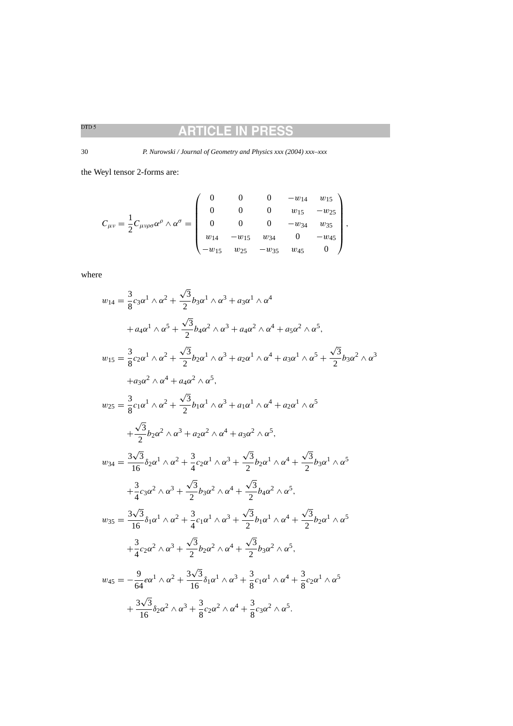#### **ARTICLE IN PRES** S

30 *P. Nurowski / Journal of Geometry and Physics xxx (2004) xxx–xxx*

the Weyl tensor 2-forms are:

$$
C_{\mu\nu} = \frac{1}{2} C_{\mu\nu\rho\sigma} \alpha^{\rho} \wedge \alpha^{\sigma} = \begin{pmatrix} 0 & 0 & 0 & -w_{14} & w_{15} \\ 0 & 0 & 0 & w_{15} & -w_{25} \\ 0 & 0 & 0 & -w_{34} & w_{35} \\ w_{14} & -w_{15} & w_{34} & 0 & -w_{45} \\ -w_{15} & w_{25} & -w_{35} & w_{45} & 0 \end{pmatrix},
$$

where

$$
w_{14} = \frac{3}{8}c_3\alpha^1 \wedge \alpha^2 + \frac{\sqrt{3}}{2}b_3\alpha^1 \wedge \alpha^3 + a_3\alpha^1 \wedge \alpha^4
$$
  
+  $a_4\alpha^1 \wedge \alpha^5 + \frac{\sqrt{3}}{2}b_4\alpha^2 \wedge \alpha^3 + a_4\alpha^2 \wedge \alpha^4 + a_5\alpha^2 \wedge \alpha^5,$   

$$
w_{15} = \frac{3}{8}c_2\alpha^1 \wedge \alpha^2 + \frac{\sqrt{3}}{2}b_2\alpha^1 \wedge \alpha^3 + a_2\alpha^1 \wedge \alpha^4 + a_3\alpha^1 \wedge \alpha^5 + \frac{\sqrt{3}}{2}b_3\alpha^2 \wedge \alpha^3
$$
  
+  $a_3\alpha^2 \wedge \alpha^4 + a_4\alpha^2 \wedge \alpha^5,$   

$$
w_{25} = \frac{3}{8}c_1\alpha^1 \wedge \alpha^2 + \frac{\sqrt{3}}{2}b_1\alpha^1 \wedge \alpha^3 + a_1\alpha^1 \wedge \alpha^4 + a_2\alpha^1 \wedge \alpha^5
$$
  
+ 
$$
\frac{\sqrt{3}}{2}b_2\alpha^2 \wedge \alpha^3 + a_2\alpha^2 \wedge \alpha^4 + a_3\alpha^2 \wedge \alpha^5,
$$
  

$$
w_{34} = \frac{3\sqrt{3}}{16}\delta_2\alpha^1 \wedge \alpha^2 + \frac{3}{4}c_2\alpha^1 \wedge \alpha^3 + \frac{\sqrt{3}}{2}b_2\alpha^1 \wedge \alpha^4 + \frac{\sqrt{3}}{2}b_3\alpha^1 \wedge \alpha^5
$$
  
+ 
$$
\frac{3}{4}c_3\alpha^2 \wedge \alpha^3 + \frac{\sqrt{3}}{2}b_3\alpha^2 \wedge \alpha^4 + \frac{\sqrt{3}}{2}b_4\alpha^2 \wedge \alpha^5,
$$
  

$$
w_{35} = \frac{3\sqrt{3}}{16}\delta_1\alpha^1 \wedge \alpha^2 + \frac{3}{4}c_1\alpha^1 \wedge \alpha^3 + \frac{\sqrt{3}}{2}b_1\alpha^1 \wedge \alpha^4 + \frac{\sqrt{3}}{2}b_2\alpha^1 \wedge
$$